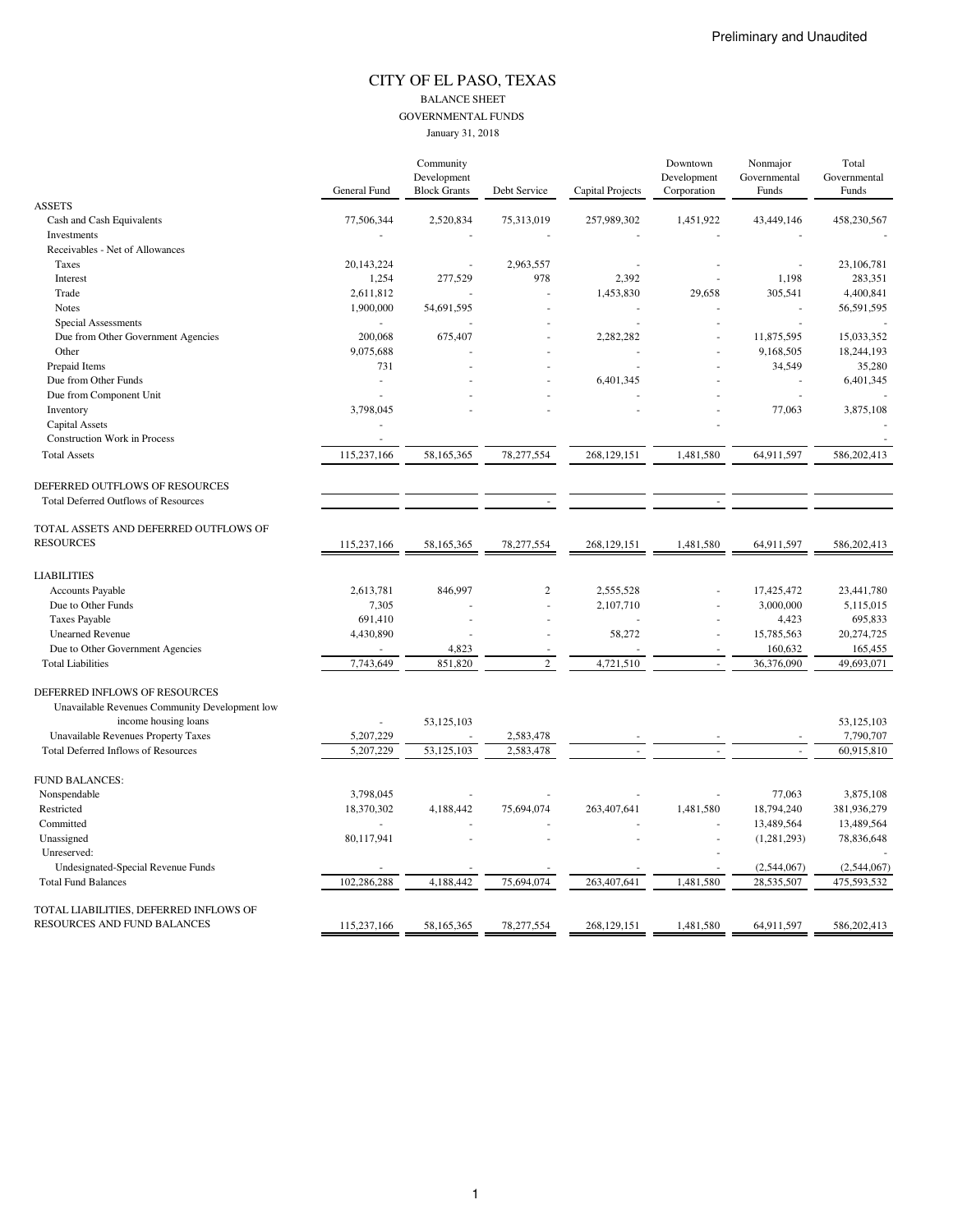## CITY OF EL PASO, TEXAS BALANCE SHEET GOVERNMENTAL FUNDS

January 31, 2018

|                                                                                 | General Fund | Community<br>Development<br><b>Block Grants</b> | Debt Service   | Capital Projects       | Downtown<br>Development<br>Corporation | Nonmajor<br>Governmental<br>Funds | Total<br>Governmental<br>Funds |
|---------------------------------------------------------------------------------|--------------|-------------------------------------------------|----------------|------------------------|----------------------------------------|-----------------------------------|--------------------------------|
| <b>ASSETS</b>                                                                   |              |                                                 |                |                        |                                        |                                   |                                |
| Cash and Cash Equivalents                                                       | 77,506,344   | 2,520,834                                       | 75,313,019     | 257,989,302            | 1,451,922                              | 43,449,146                        | 458,230,567                    |
| Investments                                                                     |              |                                                 |                |                        |                                        |                                   |                                |
| Receivables - Net of Allowances                                                 |              |                                                 |                |                        |                                        |                                   |                                |
| Taxes                                                                           | 20,143,224   |                                                 | 2,963,557      |                        |                                        |                                   | 23,106,781                     |
| Interest                                                                        | 1,254        | 277,529                                         | 978            | 2,392                  |                                        | 1,198                             | 283,351                        |
| Trade                                                                           | 2,611,812    |                                                 |                | 1,453,830              | 29,658                                 | 305,541                           | 4,400,841                      |
| <b>Notes</b>                                                                    | 1,900,000    | 54,691,595                                      |                |                        |                                        |                                   | 56,591,595                     |
| Special Assessments                                                             |              |                                                 |                |                        |                                        |                                   |                                |
| Due from Other Government Agencies                                              | 200,068      | 675,407                                         |                | 2,282,282              |                                        | 11,875,595                        | 15,033,352                     |
| Other                                                                           | 9,075,688    |                                                 |                |                        |                                        | 9,168,505                         | 18,244,193                     |
| Prepaid Items                                                                   | 731          |                                                 |                |                        |                                        | 34,549                            | 35,280                         |
| Due from Other Funds                                                            | ÷.           |                                                 |                | 6,401,345              |                                        |                                   | 6,401,345                      |
| Due from Component Unit                                                         |              |                                                 |                |                        |                                        |                                   |                                |
| Inventory                                                                       | 3,798,045    |                                                 |                |                        |                                        | 77,063                            | 3,875,108                      |
| Capital Assets                                                                  |              |                                                 |                |                        |                                        |                                   |                                |
| <b>Construction Work in Process</b>                                             |              |                                                 |                |                        |                                        |                                   |                                |
| <b>Total Assets</b>                                                             | 115,237,166  | 58,165,365                                      | 78,277,554     | 268,129,151            | 1,481,580                              | 64,911,597                        | 586,202,413                    |
| DEFERRED OUTFLOWS OF RESOURCES<br><b>Total Deferred Outflows of Resources</b>   |              |                                                 |                |                        |                                        |                                   |                                |
| TOTAL ASSETS AND DEFERRED OUTFLOWS OF<br><b>RESOURCES</b>                       | 115,237,166  | 58,165,365                                      | 78,277,554     | 268,129,151            | 1,481,580                              | 64,911,597                        | 586,202,413                    |
| <b>LIABILITIES</b>                                                              |              |                                                 |                |                        |                                        |                                   |                                |
| <b>Accounts Payable</b>                                                         | 2,613,781    | 846,997                                         | $\overline{c}$ | 2,555,528              |                                        | 17,425,472                        | 23,441,780                     |
| Due to Other Funds                                                              | 7,305        |                                                 | ÷,             | 2,107,710              |                                        | 3,000,000                         | 5,115,015                      |
| <b>Taxes Payable</b>                                                            | 691,410      |                                                 |                |                        |                                        | 4,423                             | 695,833                        |
| <b>Unearned Revenue</b>                                                         | 4,430,890    |                                                 |                | 58,272                 |                                        | 15,785,563                        | 20,274,725                     |
| Due to Other Government Agencies                                                |              | 4,823                                           |                |                        |                                        | 160,632                           | 165,455                        |
| <b>Total Liabilities</b>                                                        | 7,743,649    | 851,820                                         | $\overline{c}$ | $\overline{4,721,510}$ |                                        | 36,376,090                        | 49,693,071                     |
| DEFERRED INFLOWS OF RESOURCES<br>Unavailable Revenues Community Development low |              |                                                 |                |                        |                                        |                                   |                                |
| income housing loans                                                            |              | 53,125,103                                      |                |                        |                                        |                                   | 53,125,103                     |
| Unavailable Revenues Property Taxes                                             | 5,207,229    |                                                 | 2,583,478      |                        |                                        |                                   | 7,790,707                      |
| <b>Total Deferred Inflows of Resources</b>                                      | 5,207,229    | 53,125,103                                      | 2,583,478      |                        |                                        |                                   | 60,915,810                     |
| <b>FUND BALANCES:</b>                                                           |              |                                                 |                |                        |                                        |                                   |                                |
| Nonspendable                                                                    | 3,798,045    |                                                 |                |                        |                                        | 77,063                            | 3,875,108                      |
| Restricted                                                                      | 18,370,302   | 4,188,442                                       | 75,694,074     | 263,407,641            | 1,481,580                              | 18,794,240                        | 381,936,279                    |
| Committed                                                                       |              |                                                 |                |                        |                                        | 13,489,564                        | 13,489,564                     |
| Unassigned                                                                      | 80,117,941   |                                                 |                |                        |                                        | (1,281,293)                       | 78,836,648                     |
| Unreserved:                                                                     |              |                                                 |                |                        |                                        |                                   |                                |
| Undesignated-Special Revenue Funds                                              |              |                                                 |                |                        |                                        | (2,544,067)                       | (2,544,067)                    |
| <b>Total Fund Balances</b>                                                      | 102,286,288  | 4,188,442                                       | 75,694,074     | 263,407,641            | 1,481,580                              | 28,535,507                        | 475,593,532                    |
| TOTAL LIABILITIES, DEFERRED INFLOWS OF                                          |              |                                                 |                |                        |                                        |                                   |                                |
| RESOURCES AND FUND BALANCES                                                     | 115,237,166  | 58,165,365                                      | 78,277,554     | 268,129,151            | 1,481,580                              | 64,911,597                        | 586,202,413                    |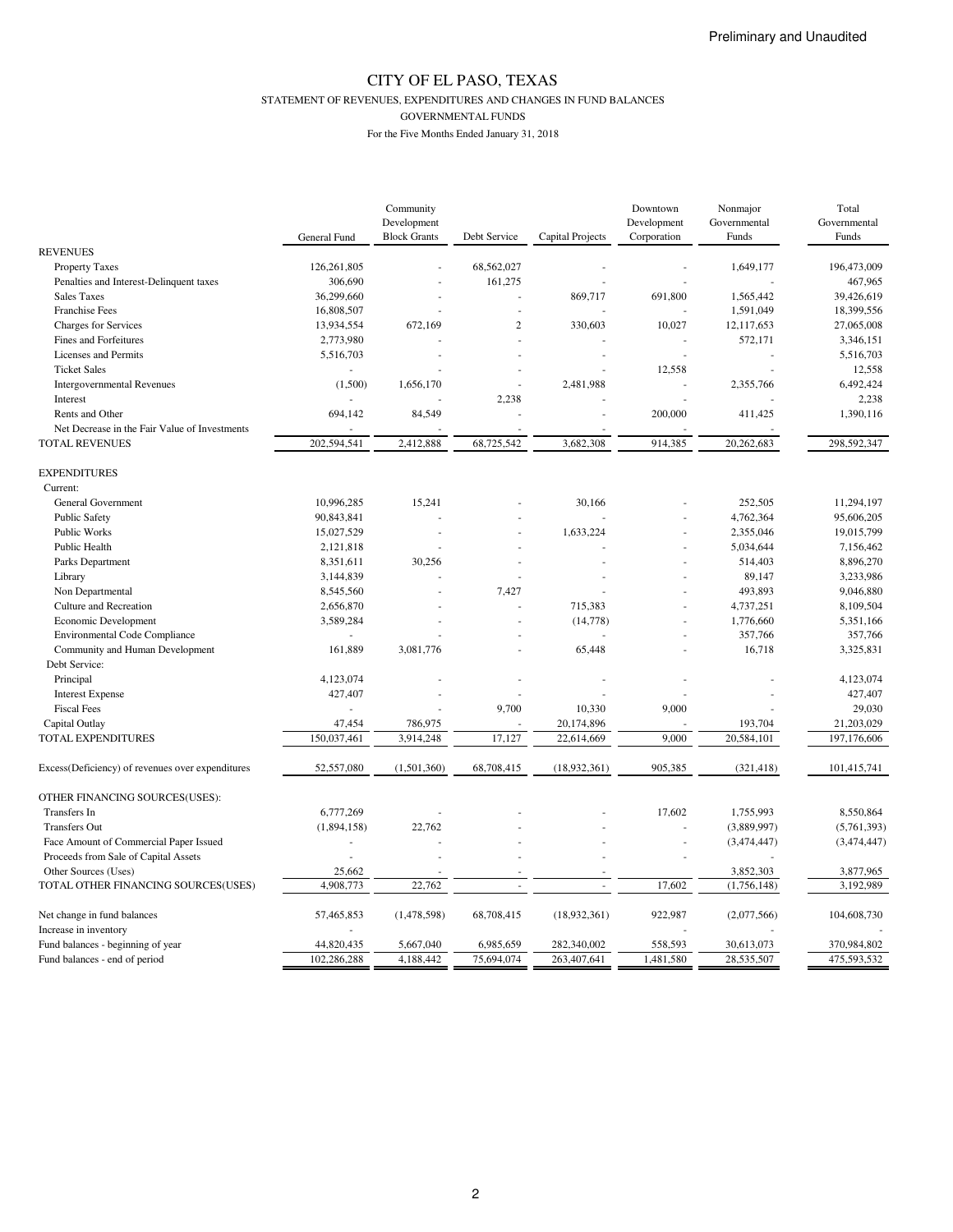STATEMENT OF REVENUES, EXPENDITURES AND CHANGES IN FUND BALANCES

GOVERNMENTAL FUNDS

|                                                  |              | Community           |                |                  | Downtown    | Nonmajor     | Total        |
|--------------------------------------------------|--------------|---------------------|----------------|------------------|-------------|--------------|--------------|
|                                                  |              | Development         |                |                  | Development | Governmental | Governmental |
|                                                  | General Fund | <b>Block Grants</b> | Debt Service   | Capital Projects | Corporation | Funds        | Funds        |
| <b>REVENUES</b>                                  |              |                     |                |                  |             |              |              |
| <b>Property Taxes</b>                            | 126,261,805  |                     | 68,562,027     |                  |             | 1,649,177    | 196,473,009  |
| Penalties and Interest-Delinquent taxes          | 306,690      |                     | 161,275        |                  |             |              | 467,965      |
| <b>Sales Taxes</b>                               | 36,299,660   |                     |                | 869,717          | 691,800     | 1,565,442    | 39,426,619   |
| <b>Franchise Fees</b>                            | 16,808,507   |                     |                |                  |             | 1,591,049    | 18,399,556   |
| Charges for Services                             | 13,934,554   | 672,169             | $\overline{c}$ | 330,603          | 10,027      | 12,117,653   | 27,065,008   |
| Fines and Forfeitures                            | 2,773,980    |                     |                |                  |             | 572,171      | 3,346,151    |
| Licenses and Permits                             | 5,516,703    |                     |                |                  |             |              | 5,516,703    |
| <b>Ticket Sales</b>                              |              |                     |                |                  | 12,558      |              | 12,558       |
| <b>Intergovernmental Revenues</b>                | (1,500)      | 1,656,170           |                | 2,481,988        |             | 2,355,766    | 6,492,424    |
| Interest                                         |              |                     | 2,238          |                  |             |              | 2,238        |
| Rents and Other                                  | 694,142      | 84,549              |                |                  | 200,000     | 411,425      | 1,390,116    |
| Net Decrease in the Fair Value of Investments    |              |                     |                |                  |             |              |              |
| <b>TOTAL REVENUES</b>                            | 202,594,541  | 2,412,888           | 68,725,542     | 3,682,308        | 914,385     | 20,262,683   | 298,592,347  |
|                                                  |              |                     |                |                  |             |              |              |
| <b>EXPENDITURES</b>                              |              |                     |                |                  |             |              |              |
| Current:                                         |              |                     |                |                  |             |              |              |
| <b>General Government</b>                        | 10,996,285   | 15,241              |                | 30,166           |             | 252,505      | 11,294,197   |
| <b>Public Safety</b>                             | 90,843,841   |                     |                |                  |             | 4,762,364    | 95,606,205   |
| Public Works                                     | 15,027,529   |                     |                | 1,633,224        |             | 2,355,046    | 19,015,799   |
| Public Health                                    | 2,121,818    |                     |                |                  |             | 5,034,644    | 7,156,462    |
| Parks Department                                 | 8,351,611    | 30,256              |                |                  |             | 514,403      | 8,896,270    |
| Library                                          | 3,144,839    |                     |                |                  |             | 89,147       | 3,233,986    |
| Non Departmental                                 | 8,545,560    |                     | 7,427          |                  |             | 493,893      | 9,046,880    |
| Culture and Recreation                           | 2,656,870    |                     |                | 715,383          |             | 4,737,251    | 8,109,504    |
| Economic Development                             | 3,589,284    |                     |                | (14, 778)        |             | 1,776,660    | 5,351,166    |
| <b>Environmental Code Compliance</b>             | $\sim$       |                     |                |                  |             | 357,766      | 357,766      |
| Community and Human Development                  | 161,889      | 3,081,776           |                | 65,448           |             | 16,718       | 3,325,831    |
| Debt Service:                                    |              |                     |                |                  |             |              |              |
| Principal                                        | 4,123,074    |                     |                |                  |             |              | 4,123,074    |
| <b>Interest Expense</b>                          | 427,407      |                     |                |                  |             |              | 427,407      |
| <b>Fiscal Fees</b>                               |              |                     | 9,700          | 10,330           | 9,000       |              | 29,030       |
| Capital Outlay                                   | 47,454       | 786,975             |                | 20,174,896       |             | 193,704      | 21,203,029   |
| TOTAL EXPENDITURES                               | 150,037,461  | 3,914,248           | 17,127         | 22,614,669       | 9,000       | 20,584,101   | 197,176,606  |
|                                                  |              |                     |                |                  |             |              |              |
| Excess(Deficiency) of revenues over expenditures | 52,557,080   | (1,501,360)         | 68,708,415     | (18,932,361)     | 905,385     | (321, 418)   | 101,415,741  |
|                                                  |              |                     |                |                  |             |              |              |
| OTHER FINANCING SOURCES(USES):                   |              |                     |                |                  |             |              |              |
| Transfers In                                     | 6,777,269    |                     |                |                  | 17,602      | 1,755,993    | 8,550,864    |
| <b>Transfers Out</b>                             | (1,894,158)  | 22,762              |                |                  |             | (3,889,997)  | (5,761,393)  |
| Face Amount of Commercial Paper Issued           |              |                     |                |                  |             | (3,474,447)  | (3,474,447)  |
| Proceeds from Sale of Capital Assets             |              |                     |                |                  |             |              |              |
| Other Sources (Uses)                             | 25,662       |                     |                |                  |             | 3,852,303    | 3,877,965    |
| TOTAL OTHER FINANCING SOURCES(USES)              | 4,908,773    | 22,762              |                |                  | 17,602      | (1,756,148)  | 3,192,989    |
|                                                  |              |                     |                |                  |             |              |              |
| Net change in fund balances                      | 57,465,853   | (1,478,598)         | 68,708,415     | (18,932,361)     | 922,987     | (2,077,566)  | 104,608,730  |
| Increase in inventory                            |              |                     |                |                  |             |              |              |
| Fund balances - beginning of year                | 44,820,435   | 5,667,040           | 6,985,659      | 282,340,002      | 558,593     | 30,613,073   | 370,984,802  |
| Fund balances - end of period                    | 102,286,288  | 4,188,442           | 75,694,074     | 263,407,641      | 1,481,580   | 28,535,507   | 475,593,532  |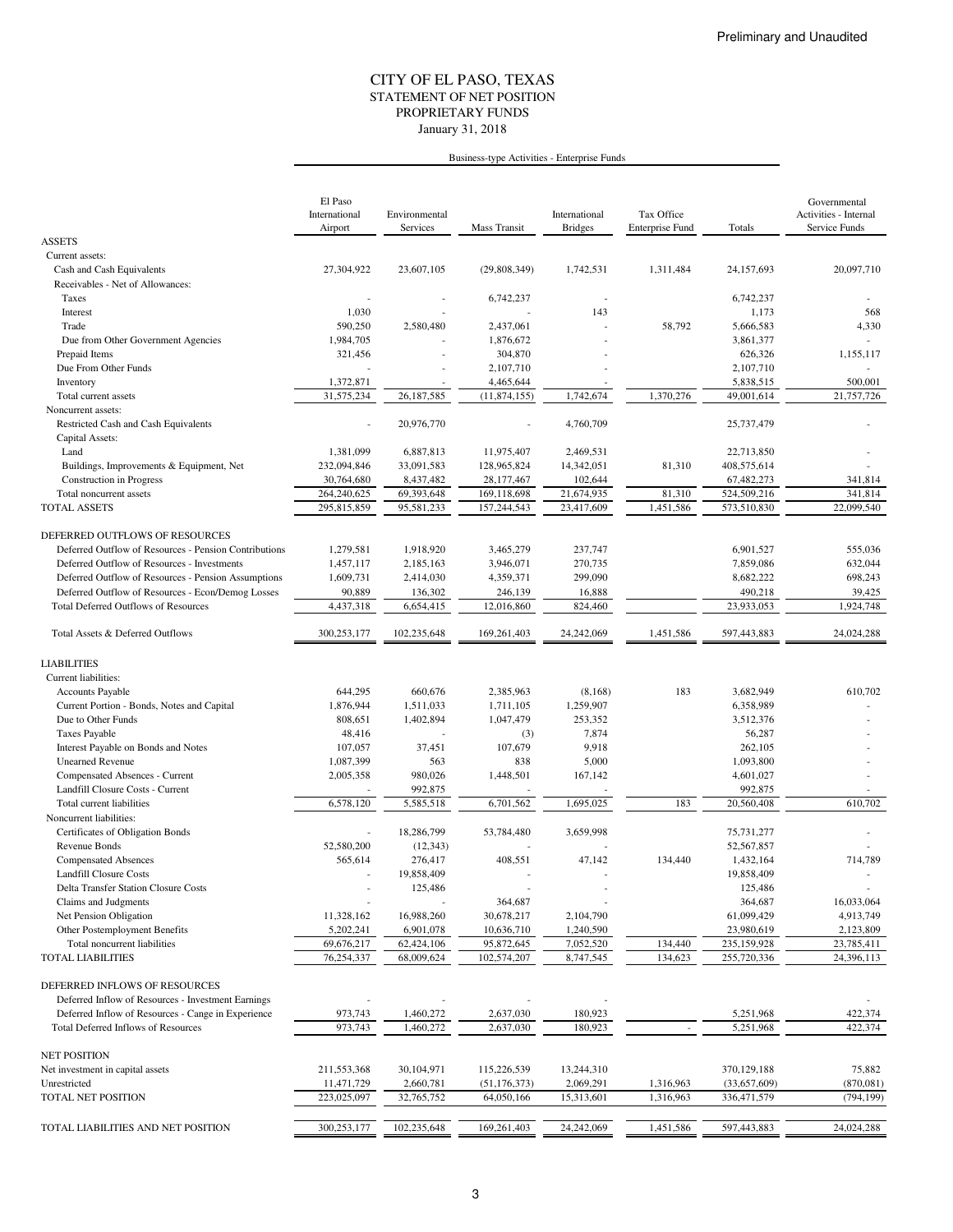### STATEMENT OF NET POSITION CITY OF EL PASO, TEXAS January 31, 2018 PROPRIETARY FUNDS

### Business-type Activities - Enterprise Funds

|                                                         | El Paso<br>International  | Environmental           |                              | International           | Tax Office               |                             | Governmental<br>Activities - Internal |
|---------------------------------------------------------|---------------------------|-------------------------|------------------------------|-------------------------|--------------------------|-----------------------------|---------------------------------------|
|                                                         | Airport                   | Services                | <b>Mass Transit</b>          | <b>Bridges</b>          | <b>Enterprise Fund</b>   | Totals                      | Service Funds                         |
| <b>ASSETS</b>                                           |                           |                         |                              |                         |                          |                             |                                       |
| Current assets:                                         |                           |                         |                              |                         |                          |                             |                                       |
| Cash and Cash Equivalents                               | 27,304,922                | 23,607,105              | (29,808,349)                 | 1,742,531               | 1,311,484                | 24,157,693                  | 20,097,710                            |
| Receivables - Net of Allowances:                        |                           |                         |                              |                         |                          |                             |                                       |
| Taxes                                                   |                           |                         | 6,742,237                    |                         |                          | 6,742,237                   |                                       |
| Interest                                                | 1,030                     |                         |                              | 143                     |                          | 1,173                       | 568                                   |
| Trade                                                   | 590,250                   | 2,580,480               | 2,437,061                    |                         | 58,792                   | 5,666,583                   | 4,330                                 |
| Due from Other Government Agencies                      | 1,984,705                 |                         | 1,876,672                    |                         |                          | 3,861,377                   |                                       |
| Prepaid Items                                           | 321,456                   | ä,                      | 304,870                      |                         |                          | 626,326                     | 1,155,117                             |
| Due From Other Funds                                    |                           |                         | 2,107,710                    |                         |                          | 2,107,710                   |                                       |
| Inventory                                               | 1,372,871                 |                         | 4,465,644                    |                         |                          | 5,838,515                   | 500,001                               |
| Total current assets                                    | 31,575,234                | 26,187,585              | (11, 874, 155)               | 1,742,674               | 1,370,276                | 49,001,614                  | 21,757,726                            |
| Noncurrent assets:                                      |                           | 20,976,770              |                              | 4,760,709               |                          | 25,737,479                  |                                       |
| Restricted Cash and Cash Equivalents<br>Capital Assets: |                           |                         |                              |                         |                          |                             |                                       |
| Land                                                    | 1,381,099                 | 6,887,813               | 11,975,407                   | 2,469,531               |                          | 22,713,850                  |                                       |
| Buildings, Improvements & Equipment, Net                | 232,094,846               | 33,091,583              | 128,965,824                  | 14,342,051              | 81,310                   | 408,575,614                 |                                       |
| <b>Construction</b> in Progress                         | 30,764,680                | 8,437,482               | 28,177,467                   | 102,644                 |                          | 67,482,273                  | 341,814                               |
| Total noncurrent assets                                 | 264,240,625               | 69,393,648              | 169,118,698                  | 21,674,935              | 81,310                   | 524,509,216                 | 341,814                               |
| <b>TOTAL ASSETS</b>                                     | 295,815,859               | 95,581,233              | 157,244,543                  | 23,417,609              | 1,451,586                | 573,510,830                 | 22,099,540                            |
|                                                         |                           |                         |                              |                         |                          |                             |                                       |
| DEFERRED OUTFLOWS OF RESOURCES                          |                           |                         |                              |                         |                          |                             |                                       |
| Deferred Outflow of Resources - Pension Contributions   | 1,279,581                 | 1,918,920               | 3,465,279                    | 237,747                 |                          | 6,901,527                   | 555,036                               |
| Deferred Outflow of Resources - Investments             | 1,457,117                 | 2,185,163               | 3,946,071                    | 270,735                 |                          | 7,859,086                   | 632,044                               |
| Deferred Outflow of Resources - Pension Assumptions     | 1,609,731                 | 2,414,030               | 4,359,371                    | 299,090                 |                          | 8,682,222                   | 698,243                               |
| Deferred Outflow of Resources - Econ/Demog Losses       | 90,889                    | 136,302                 | 246,139                      | 16,888                  |                          | 490,218                     | 39,425                                |
| <b>Total Deferred Outflows of Resources</b>             | 4,437,318                 | 6,654,415               | 12,016,860                   | 824,460                 |                          | 23,933,053                  | 1,924,748                             |
|                                                         |                           |                         |                              |                         |                          |                             |                                       |
| Total Assets & Deferred Outflows                        | 300,253,177               | 102,235,648             | 169,261,403                  | 24,242,069              | 1,451,586                | 597,443,883                 | 24.024.288                            |
| <b>LIABILITIES</b>                                      |                           |                         |                              |                         |                          |                             |                                       |
| Current liabilities:                                    |                           |                         |                              |                         |                          |                             |                                       |
| <b>Accounts Payable</b>                                 | 644,295                   | 660,676                 | 2,385,963                    | (8, 168)                | 183                      | 3,682,949                   | 610,702                               |
| Current Portion - Bonds, Notes and Capital              | 1,876,944                 | 1,511,033               | 1,711,105                    | 1,259,907               |                          | 6,358,989                   |                                       |
| Due to Other Funds                                      | 808,651                   | 1,402,894               | 1,047,479                    | 253,352                 |                          | 3,512,376                   |                                       |
| <b>Taxes Payable</b>                                    | 48,416                    |                         | (3)                          | 7,874                   |                          | 56,287                      |                                       |
| Interest Payable on Bonds and Notes                     | 107,057                   | 37,451                  | 107,679                      | 9,918                   |                          | 262,105                     |                                       |
| <b>Unearned Revenue</b>                                 | 1,087,399                 | 563                     | 838                          | 5,000                   |                          | 1,093,800                   |                                       |
| Compensated Absences - Current                          | 2,005,358                 | 980,026                 | 1,448,501                    | 167,142                 |                          | 4,601,027                   |                                       |
| Landfill Closure Costs - Current                        |                           | 992,875                 |                              |                         |                          | 992,875                     |                                       |
| Total current liabilities                               | 6,578,120                 | 5,585,518               | 6,701,562                    | 1,695,025               | 183                      | 20,560,408                  | 610,702                               |
| Noncurrent liabilities:                                 |                           |                         |                              |                         |                          |                             |                                       |
| Certificates of Obligation Bonds                        |                           | 18,286,799              | 53,784,480                   | 3,659,998               |                          | 75,731,277                  |                                       |
| Revenue Bonds                                           | 52,580,200                | (12, 343)               |                              |                         |                          | 52,567,857                  |                                       |
| <b>Compensated Absences</b>                             | 565,614                   | 276,417                 | 408,551                      | 47,142                  | 134,440                  | 1,432,164                   | 714,789                               |
| <b>Landfill Closure Costs</b>                           |                           | 19,858,409              |                              |                         |                          | 19,858,409                  |                                       |
| Delta Transfer Station Closure Costs                    |                           | 125,486                 |                              |                         |                          | 125,486                     |                                       |
| Claims and Judgments                                    |                           |                         | 364,687                      |                         |                          | 364,687                     | 16,033,064                            |
| Net Pension Obligation                                  | 11,328,162                | 16,988,260              | 30,678,217                   | 2,104,790               |                          | 61,099,429                  | 4,913,749                             |
| Other Postemployment Benefits                           | 5,202,241                 | 6,901,078               | 10,636,710                   | 1,240,590               |                          | 23,980,619                  | 2,123,809                             |
| Total noncurrent liabilities                            | 69,676,217                | 62,424,106              | 95,872,645                   | 7,052,520               | 134,440                  | 235,159,928                 | 23,785,411                            |
| <b>TOTAL LIABILITIES</b>                                | 76,254,337                | 68,009,624              | 102,574,207                  | 8,747,545               | 134,623                  | 255,720,336                 | 24,396,113                            |
| DEFERRED INFLOWS OF RESOURCES                           |                           |                         |                              |                         |                          |                             |                                       |
| Deferred Inflow of Resources - Investment Earnings      |                           |                         |                              |                         |                          |                             |                                       |
| Deferred Inflow of Resources - Cange in Experience      | 973,743                   | 1,460,272               | 2,637,030                    | 180,923                 |                          | 5,251,968                   | 422,374                               |
| Total Deferred Inflows of Resources                     | 973,743                   | 1,460,272               | 2,637,030                    | 180,923                 | $\overline{\phantom{a}}$ | 5,251,968                   | 422,374                               |
|                                                         |                           |                         |                              |                         |                          |                             |                                       |
| <b>NET POSITION</b>                                     |                           |                         |                              |                         |                          |                             |                                       |
| Net investment in capital assets                        | 211,553,368               | 30,104,971              | 115,226,539                  | 13,244,310              |                          | 370,129,188                 | 75,882                                |
| Unrestricted<br><b>TOTAL NET POSITION</b>               | 11,471,729<br>223,025,097 | 2,660,781<br>32,765,752 | (51, 176, 373)<br>64,050,166 | 2,069,291<br>15,313,601 | 1,316,963<br>1,316,963   | (33,657,609)<br>336,471,579 | (870, 081)<br>(794, 199)              |
|                                                         |                           |                         |                              |                         |                          |                             |                                       |
| TOTAL LIABILITIES AND NET POSITION                      | 300,253,177               | 102,235,648             | 169,261,403                  | 24,242,069              | 1,451,586                | 597,443,883                 | 24,024,288                            |
|                                                         |                           |                         |                              |                         |                          |                             |                                       |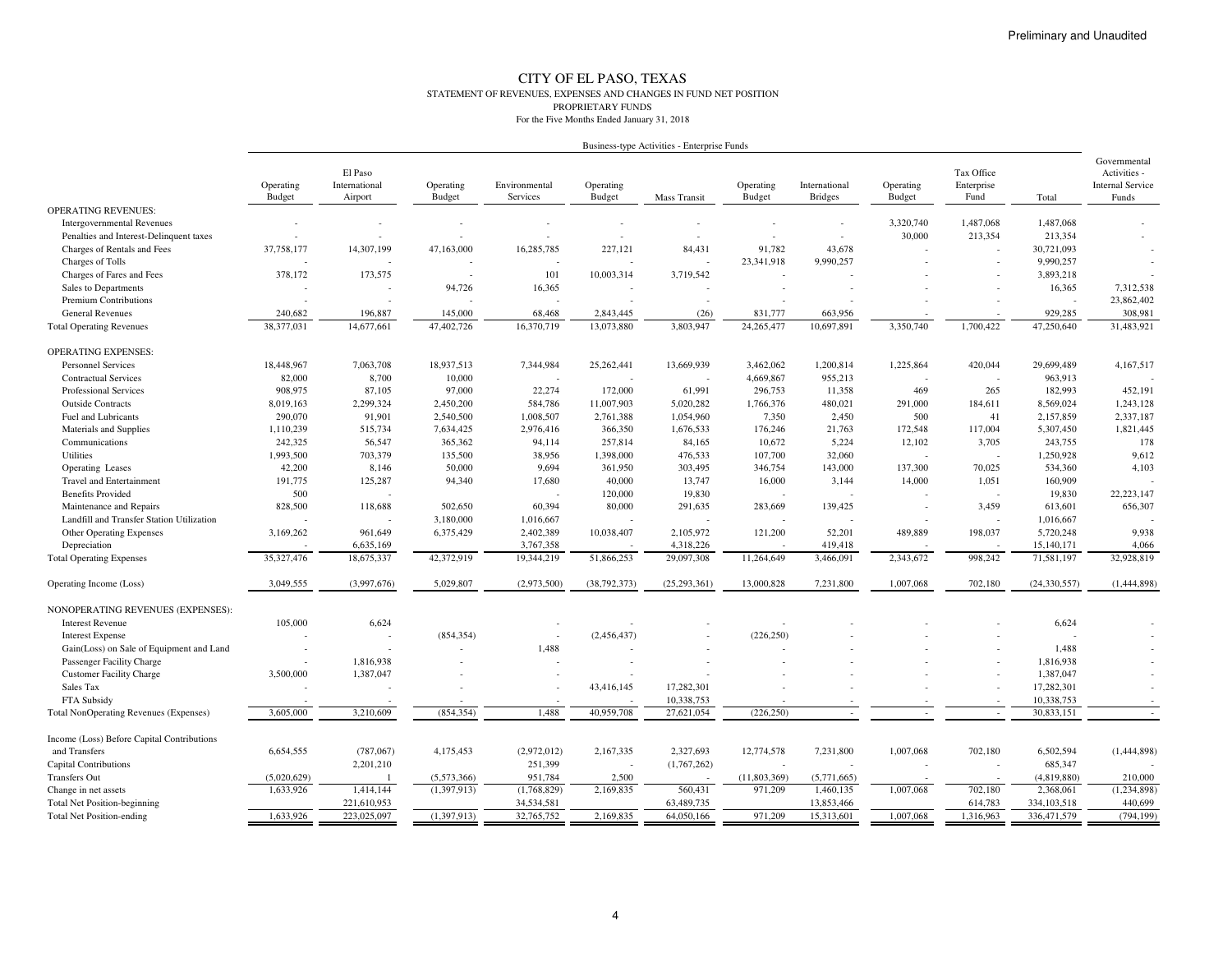#### CITY OF EL PASO, TEXAS STATEMENT OF REVENUES, EXPENSES AND CHANGES IN FUND NET POSITIONPROPRIETARY FUNDSFor the Five Months Ended January 31, 2018

|                                               | Business-type Activities - Enterprise Funds |                                     |                          |                           |                     |                          |                            |                                 |                     |                                  |                          |                                                                  |
|-----------------------------------------------|---------------------------------------------|-------------------------------------|--------------------------|---------------------------|---------------------|--------------------------|----------------------------|---------------------------------|---------------------|----------------------------------|--------------------------|------------------------------------------------------------------|
|                                               | Operating<br>Budget                         | El Paso<br>International<br>Airport | Operating<br>Budget      | Environmental<br>Services | Operating<br>Budget | <b>Mass Transit</b>      | Operating<br><b>Budget</b> | International<br><b>Bridges</b> | Operating<br>Budget | Tax Office<br>Enterprise<br>Fund | Total                    | Governmental<br>Activities -<br><b>Internal Service</b><br>Funds |
| <b>OPERATING REVENUES:</b>                    |                                             |                                     |                          |                           |                     |                          |                            |                                 |                     |                                  |                          |                                                                  |
| <b>Intergovernmental Revenues</b>             |                                             |                                     |                          |                           |                     | $\overline{\phantom{a}}$ |                            |                                 | 3,320,740           | 1,487,068                        | 1,487,068                |                                                                  |
| Penalties and Interest-Delinquent taxes       |                                             |                                     |                          |                           |                     |                          |                            | $\overline{a}$                  | 30,000              | 213,354                          | 213,354                  |                                                                  |
| Charges of Rentals and Fees                   | 37,758,177                                  | 14,307,199                          | 47,163,000               | 16,285,785                | 227,121             | 84,431                   | 91,782                     | 43,678                          |                     |                                  | 30,721,093               |                                                                  |
| Charges of Tolls                              |                                             |                                     |                          |                           |                     |                          | 23,341,918                 | 9,990,257                       |                     |                                  | 9,990,257                |                                                                  |
| Charges of Fares and Fees                     | 378,172                                     | 173,575                             | $\overline{\phantom{a}}$ | 101                       | 10,003,314          | 3,719,542                |                            |                                 |                     |                                  | 3,893,218                |                                                                  |
| Sales to Departments                          |                                             |                                     | 94,726                   | 16,365                    |                     |                          |                            |                                 |                     |                                  | 16,365                   | 7,312,538                                                        |
| Premium Contributions                         |                                             |                                     |                          |                           |                     | $\overline{\phantom{a}}$ |                            |                                 |                     |                                  | $\overline{\phantom{a}}$ | 23,862,402                                                       |
| <b>General Revenues</b>                       | 240,682                                     | 196,887                             | 145,000                  | 68,468                    | 2,843,445           | (26)                     | 831,777                    | 663,956                         |                     |                                  | 929,285                  | 308,981                                                          |
| <b>Total Operating Revenues</b>               | 38,377,031                                  | 14,677,661                          | 47,402,726               | 16,370,719                | 13,073,880          | 3,803,947                | 24,265,477                 | 10,697,891                      | 3,350,740           | 1,700,422                        | 47,250,640               | 31,483,921                                                       |
| <b>OPERATING EXPENSES:</b>                    |                                             |                                     |                          |                           |                     |                          |                            |                                 |                     |                                  |                          |                                                                  |
| <b>Personnel Services</b>                     | 18,448,967                                  | 7,063,708                           | 18,937,513               | 7,344,984                 | 25,262,441          | 13,669,939               | 3,462,062                  | 1,200,814                       | 1,225,864           | 420,044                          | 29,699,489               | 4,167,517                                                        |
| <b>Contractual Services</b>                   | 82,000                                      | 8,700                               | 10,000                   |                           |                     |                          | 4,669,867                  | 955,213                         |                     |                                  | 963,913                  |                                                                  |
| Professional Services                         | 908,975                                     | 87,105                              | 97,000                   | 22,274                    | 172,000             | 61,991                   | 296,753                    | 11,358                          | 469                 | 265                              | 182,993                  | 452,191                                                          |
| <b>Outside Contracts</b>                      | 8,019,163                                   | 2,299,324                           | 2,450,200                | 584,786                   | 11,007,903          | 5,020,282                | 1,766,376                  | 480,021                         | 291,000             | 184,611                          | 8,569,024                | 1,243,128                                                        |
| Fuel and Lubricants                           | 290,070                                     | 91,901                              | 2,540,500                | 1,008,507                 | 2,761,388           | 1,054,960                | 7,350                      | 2,450                           | 500                 | 41                               | 2,157,859                | 2,337,187                                                        |
| Materials and Supplies                        | 1,110,239                                   | 515,734                             | 7,634,425                | 2,976,416                 | 366,350             | 1,676,533                | 176,246                    | 21,763                          | 172,548             | 117,004                          | 5,307,450                | 1,821,445                                                        |
| Communications                                | 242,325                                     | 56,547                              | 365,362                  | 94,114                    | 257,814             | 84,165                   | 10,672                     | 5,224                           | 12,102              | 3,705                            | 243,755                  | 178                                                              |
| Utilities                                     | 1,993,500                                   | 703,379                             | 135,500                  | 38,956                    | 1,398,000           | 476,533                  | 107,700                    | 32,060                          |                     |                                  | 1,250,928                | 9,612                                                            |
| Operating Leases                              | 42,200                                      | 8,146                               | 50,000                   | 9,694                     | 361,950             | 303,495                  | 346,754                    | 143,000                         | 137,300             | 70,025                           | 534,360                  | 4,103                                                            |
| <b>Travel and Entertainment</b>               | 191,775                                     | 125,287                             | 94,340                   | 17,680                    | 40,000              | 13,747                   | 16,000                     | 3,144                           | 14,000              | 1,051                            | 160,909                  |                                                                  |
| <b>Benefits Provided</b>                      | 500                                         |                                     |                          |                           | 120,000             | 19,830                   |                            |                                 |                     |                                  | 19,830                   | 22,223,147                                                       |
| Maintenance and Repairs                       | 828,500                                     | 118,688                             | 502,650                  | 60,394                    | 80,000              | 291,635                  | 283,669                    | 139,425                         |                     | 3,459                            | 613,601                  | 656,307                                                          |
| Landfill and Transfer Station Utilization     |                                             |                                     | 3,180,000                | 1,016,667                 |                     |                          |                            |                                 |                     |                                  | 1,016,667                |                                                                  |
| Other Operating Expenses                      | 3,169,262                                   | 961,649                             | 6,375,429                | 2,402,389                 | 10,038,407          | 2,105,972                | 121,200                    | 52,201                          | 489,889             | 198,037                          | 5,720,248                | 9,938                                                            |
| Depreciation                                  |                                             | 6,635,169                           |                          | 3,767,358                 |                     | 4,318,226                |                            | 419,418                         |                     |                                  | 15,140,171               | 4,066                                                            |
| <b>Total Operating Expenses</b>               | 35,327,476                                  | 18,675,337                          | 42,372,919               | 19,344,219                | 51,866,253          | 29,097,308               | 11,264,649                 | 3,466,091                       | 2,343,672           | 998,242                          | 71,581,197               | 32,928,819                                                       |
| Operating Income (Loss)                       | 3,049,555                                   | (3,997,676)                         | 5,029,807                | (2,973,500)               | (38, 792, 373)      | (25, 293, 361)           | 13,000,828                 | 7,231,800                       | 1,007,068           | 702,180                          | (24, 330, 557)           | (1,444,898)                                                      |
| NONOPERATING REVENUES (EXPENSES):             |                                             |                                     |                          |                           |                     |                          |                            |                                 |                     |                                  |                          |                                                                  |
| <b>Interest Revenue</b>                       | 105,000                                     | 6,624                               |                          |                           |                     |                          |                            |                                 |                     |                                  | 6,624                    |                                                                  |
| <b>Interest Expense</b>                       |                                             |                                     | (854, 354)               |                           | (2,456,437)         |                          | (226, 250)                 |                                 |                     |                                  |                          |                                                                  |
| Gain(Loss) on Sale of Equipment and Land      | $\overline{a}$                              |                                     |                          | 1,488                     |                     |                          |                            |                                 |                     |                                  | 1,488                    |                                                                  |
| Passenger Facility Charge                     |                                             | 1,816,938                           |                          | $\overline{\phantom{a}}$  |                     |                          |                            |                                 |                     |                                  | 1,816,938                |                                                                  |
| <b>Customer Facility Charge</b>               | 3,500,000                                   | 1,387,047                           |                          |                           |                     |                          |                            |                                 |                     |                                  | 1,387,047                |                                                                  |
| Sales Tax                                     |                                             |                                     |                          |                           | 43,416,145          | 17,282,301               |                            |                                 |                     |                                  | 17,282,301               |                                                                  |
| FTA Subsidy                                   |                                             |                                     |                          |                           |                     | 10,338,753               |                            |                                 |                     |                                  | 10,338,753               |                                                                  |
| <b>Total NonOperating Revenues (Expenses)</b> | 3,605,000                                   | 3,210,609                           | (854.354)                | 1,488                     | 40,959,708          | 27,621,054               | (226, 250)                 | $\overline{\phantom{a}}$        |                     | $\sim$                           | 30,833,151               | $\overline{\phantom{a}}$                                         |
| Income (Loss) Before Capital Contributions    |                                             |                                     |                          |                           |                     |                          |                            |                                 |                     |                                  |                          |                                                                  |
| and Transfers                                 | 6,654,555                                   | (787,067)                           | 4,175,453                | (2,972,012)               | 2,167,335           | 2,327,693                | 12,774,578                 | 7,231,800                       | 1,007,068           | 702,180                          | 6,502,594                | (1,444,898)                                                      |
| <b>Capital Contributions</b>                  |                                             | 2,201,210                           |                          | 251,399                   |                     | (1,767,262)              |                            |                                 |                     |                                  | 685,347                  |                                                                  |
| <b>Transfers Out</b>                          | (5,020,629)                                 |                                     | (5,573,366)              | 951,784                   | 2,500               |                          | (11,803,369)               | (5,771,665)                     |                     |                                  | (4,819,880)              | 210,000                                                          |
| Change in net assets                          | 1.633.926                                   | 1,414,144                           | (1,397,913)              | (1,768,829)               | 2,169,835           | 560,431                  | 971,209                    | 1,460,135                       | 1,007,068           | 702,180                          | 2,368,061                | (1,234,898)                                                      |
| <b>Total Net Position-beginning</b>           |                                             | 221,610,953                         |                          | 34,534,581                |                     | 63,489,735               |                            | 13,853,466                      |                     | 614,783                          | 334, 103, 518            | 440,699                                                          |
| <b>Total Net Position-ending</b>              | 1,633,926                                   | 223,025,097                         | (1,397,913)              | 32,765,752                | 2,169,835           | 64,050,166               | 971,209                    | 15,313,601                      | 1,007,068           | 1,316,963                        | 336,471,579              | (794, 199)                                                       |
|                                               |                                             |                                     |                          |                           |                     |                          |                            |                                 |                     |                                  |                          |                                                                  |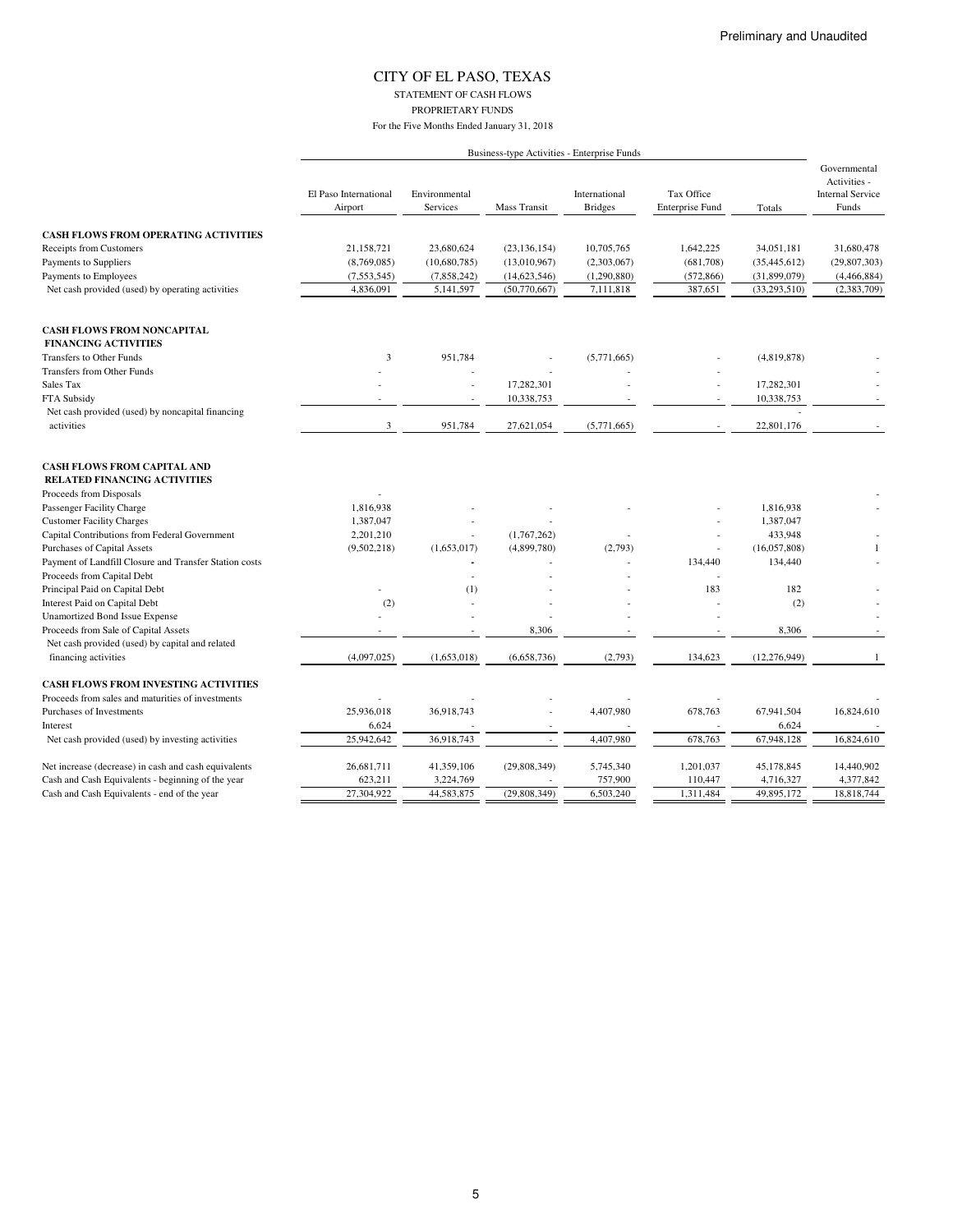### CITY OF EL PASO, TEXAS STATEMENT OF CASH FLOWS PROPRIETARY FUNDS

|                                                                           | Business-type Activities - Enterprise Funds |                           |                     |                                 |                                      |                |                                                                  |
|---------------------------------------------------------------------------|---------------------------------------------|---------------------------|---------------------|---------------------------------|--------------------------------------|----------------|------------------------------------------------------------------|
|                                                                           | El Paso International<br>Airport            | Environmental<br>Services | <b>Mass Transit</b> | International<br><b>Bridges</b> | Tax Office<br><b>Enterprise Fund</b> | Totals         | Governmental<br>Activities -<br><b>Internal Service</b><br>Funds |
|                                                                           |                                             |                           |                     |                                 |                                      |                |                                                                  |
| <b>CASH FLOWS FROM OPERATING ACTIVITIES</b>                               |                                             |                           |                     |                                 |                                      |                |                                                                  |
| <b>Receipts from Customers</b>                                            | 21.158.721                                  | 23,680,624                | (23, 136, 154)      | 10,705,765                      | 1.642.225                            | 34,051,181     | 31,680,478                                                       |
| Payments to Suppliers                                                     | (8,769,085)                                 | (10,680,785)              | (13,010,967)        | (2,303,067)                     | (681,708)                            | (35, 445, 612) | (29, 807, 303)                                                   |
| Payments to Employees                                                     | (7, 553, 545)                               | (7,858,242)               | (14, 623, 546)      | (1,290,880)                     | (572, 866)                           | (31,899,079)   | (4,466,884)                                                      |
| Net cash provided (used) by operating activities                          | 4,836,091                                   | 5,141,597                 | (50,770,667)        | 7,111,818                       | 387,651                              | (33, 293, 510) | (2,383,709)                                                      |
| <b>CASH FLOWS FROM NONCAPITAL</b>                                         |                                             |                           |                     |                                 |                                      |                |                                                                  |
| <b>FINANCING ACTIVITIES</b>                                               |                                             |                           |                     |                                 |                                      |                |                                                                  |
| Transfers to Other Funds                                                  | 3                                           | 951,784                   |                     | (5,771,665)                     |                                      | (4,819,878)    |                                                                  |
| <b>Transfers from Other Funds</b>                                         |                                             |                           |                     |                                 |                                      |                |                                                                  |
| Sales Tax                                                                 |                                             |                           | 17,282,301          |                                 |                                      | 17,282,301     |                                                                  |
| FTA Subsidy                                                               |                                             |                           | 10,338,753          |                                 |                                      | 10,338,753     |                                                                  |
| Net cash provided (used) by noncapital financing                          |                                             |                           |                     |                                 |                                      |                |                                                                  |
| activities                                                                | 3                                           | 951,784                   | 27,621,054          | (5,771,665)                     |                                      | 22,801,176     |                                                                  |
| <b>CASH FLOWS FROM CAPITAL AND</b><br><b>RELATED FINANCING ACTIVITIES</b> |                                             |                           |                     |                                 |                                      |                |                                                                  |
| Proceeds from Disposals                                                   |                                             |                           |                     |                                 |                                      |                |                                                                  |
| Passenger Facility Charge                                                 | 1,816,938                                   |                           |                     |                                 |                                      | 1,816,938      |                                                                  |
| <b>Customer Facility Charges</b>                                          | 1,387,047                                   |                           |                     |                                 |                                      | 1,387,047      |                                                                  |
| Capital Contributions from Federal Government                             | 2,201,210                                   | $\overline{\phantom{a}}$  | (1,767,262)         |                                 |                                      | 433,948        |                                                                  |
| Purchases of Capital Assets                                               | (9,502,218)                                 | (1,653,017)               | (4,899,780)         | (2,793)                         |                                      | (16,057,808)   | $\mathbf{1}$                                                     |
| Payment of Landfill Closure and Transfer Station costs                    |                                             |                           |                     |                                 | 134,440                              | 134,440        |                                                                  |
| Proceeds from Capital Debt                                                |                                             |                           |                     |                                 |                                      |                |                                                                  |
| Principal Paid on Capital Debt                                            |                                             | (1)                       |                     |                                 | 183                                  | 182            |                                                                  |
| Interest Paid on Capital Debt                                             | (2)                                         |                           |                     |                                 |                                      | (2)            |                                                                  |
| <b>Unamortized Bond Issue Expense</b>                                     |                                             |                           |                     |                                 |                                      |                |                                                                  |
| Proceeds from Sale of Capital Assets                                      |                                             |                           | 8,306               |                                 |                                      | 8,306          |                                                                  |
| Net cash provided (used) by capital and related                           |                                             |                           |                     |                                 |                                      |                |                                                                  |
| financing activities                                                      | (4,097,025)                                 | (1,653,018)               | (6,658,736)         | (2,793)                         | 134,623                              | (12, 276, 949) | 1                                                                |
| <b>CASH FLOWS FROM INVESTING ACTIVITIES</b>                               |                                             |                           |                     |                                 |                                      |                |                                                                  |
| Proceeds from sales and maturities of investments                         |                                             |                           |                     |                                 |                                      |                |                                                                  |
| Purchases of Investments                                                  | 25,936,018                                  | 36,918,743                |                     | 4,407,980                       | 678,763                              | 67,941,504     | 16,824,610                                                       |
| Interest                                                                  | 6,624                                       |                           |                     |                                 |                                      | 6,624          |                                                                  |
| Net cash provided (used) by investing activities                          | 25.942.642                                  | 36,918,743                |                     | 4,407,980                       | 678,763                              | 67,948,128     | 16,824,610                                                       |
| Net increase (decrease) in cash and cash equivalents                      | 26,681,711                                  | 41,359,106                | (29,808,349)        | 5,745,340                       | 1,201,037                            | 45,178,845     | 14,440,902                                                       |
| Cash and Cash Equivalents - beginning of the year                         | 623,211                                     | 3,224,769                 |                     | 757,900                         | 110,447                              | 4,716,327      | 4,377,842                                                        |
| Cash and Cash Equivalents - end of the year                               | 27,304,922                                  | 44,583,875                | (29, 808, 349)      | 6,503,240                       | 1,311,484                            | 49,895,172     | 18,818,744                                                       |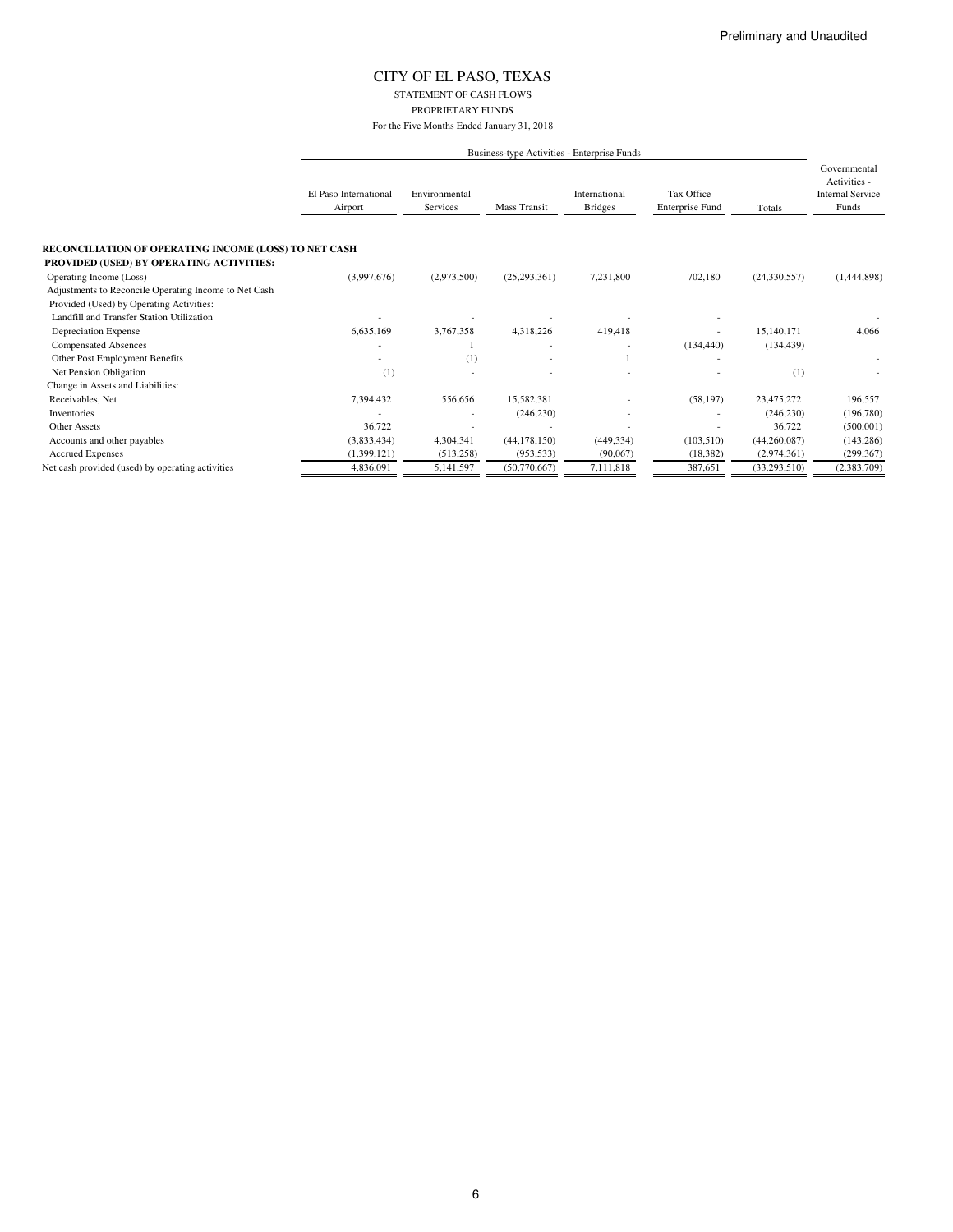### CITY OF EL PASO, TEXAS STATEMENT OF CASH FLOWS PROPRIETARY FUNDS

|                                                       |                                  | Business-type Activities - Enterprise Funds |                |                                 |                               |                |                                                                  |  |
|-------------------------------------------------------|----------------------------------|---------------------------------------------|----------------|---------------------------------|-------------------------------|----------------|------------------------------------------------------------------|--|
|                                                       | El Paso International<br>Airport | Environmental<br>Services                   | Mass Transit   | International<br><b>Bridges</b> | Tax Office<br>Enterprise Fund | Totals         | Governmental<br>Activities -<br><b>Internal Service</b><br>Funds |  |
| RECONCILIATION OF OPERATING INCOME (LOSS) TO NET CASH |                                  |                                             |                |                                 |                               |                |                                                                  |  |
| PROVIDED (USED) BY OPERATING ACTIVITIES:              |                                  |                                             |                |                                 |                               |                |                                                                  |  |
| Operating Income (Loss)                               | (3,997,676)                      | (2,973,500)                                 | (25, 293, 361) | 7,231,800                       | 702,180                       | (24, 330, 557) | (1,444,898)                                                      |  |
| Adjustments to Reconcile Operating Income to Net Cash |                                  |                                             |                |                                 |                               |                |                                                                  |  |
| Provided (Used) by Operating Activities:              |                                  |                                             |                |                                 |                               |                |                                                                  |  |
| Landfill and Transfer Station Utilization             |                                  |                                             |                |                                 |                               |                |                                                                  |  |
| Depreciation Expense                                  | 6,635,169                        | 3,767,358                                   | 4,318,226      | 419,418                         |                               | 15,140,171     | 4,066                                                            |  |
| <b>Compensated Absences</b>                           |                                  |                                             |                |                                 | (134, 440)                    | (134, 439)     |                                                                  |  |
| Other Post Employment Benefits                        |                                  | (1)                                         |                |                                 |                               |                |                                                                  |  |
| Net Pension Obligation                                | (1)                              |                                             |                |                                 |                               | (1)            |                                                                  |  |
| Change in Assets and Liabilities:                     |                                  |                                             |                |                                 |                               |                |                                                                  |  |
| Receivables, Net                                      | 7,394,432                        | 556,656                                     | 15,582,381     |                                 | (58, 197)                     | 23,475,272     | 196,557                                                          |  |
| Inventories                                           |                                  |                                             | (246, 230)     |                                 |                               | (246, 230)     | (196,780)                                                        |  |
| <b>Other Assets</b>                                   | 36,722                           |                                             |                |                                 |                               | 36,722         | (500,001)                                                        |  |
| Accounts and other payables                           | (3,833,434)                      | 4,304,341                                   | (44, 178, 150) | (449, 334)                      | (103, 510)                    | (44,260,087)   | (143, 286)                                                       |  |
| <b>Accrued Expenses</b>                               | (1,399,121)                      | (513, 258)                                  | (953, 533)     | (90,067)                        | (18, 382)                     | (2,974,361)    | (299, 367)                                                       |  |
| Net cash provided (used) by operating activities      | 4,836,091                        | 5,141,597                                   | (50,770,667)   | 7,111,818                       | 387.651                       | (33,293,510)   | (2,383,709)                                                      |  |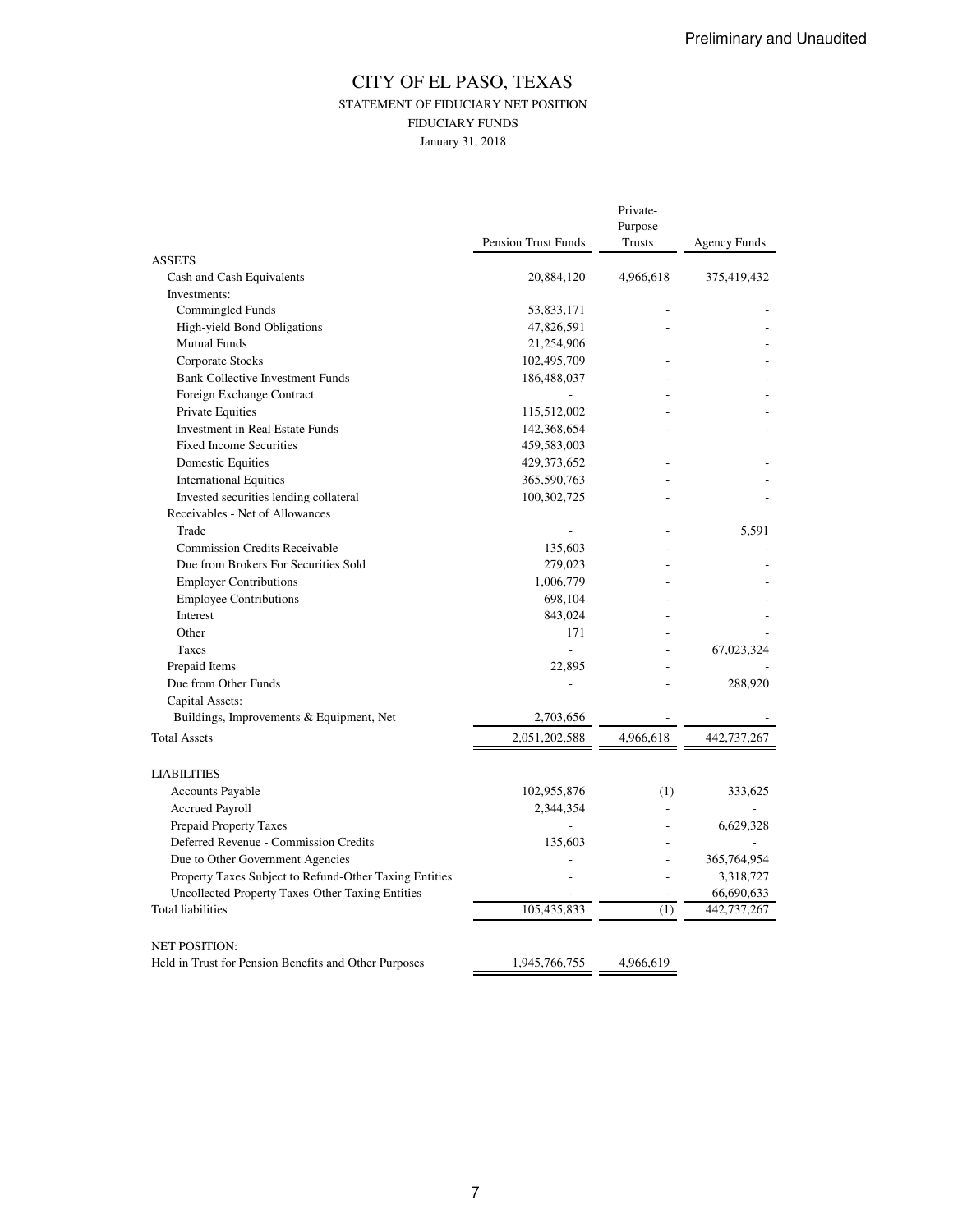### CITY OF EL PASO, TEXAS STATEMENT OF FIDUCIARY NET POSITION FIDUCIARY FUNDS January 31, 2018

|                                                                              |                            | Private-       |                     |
|------------------------------------------------------------------------------|----------------------------|----------------|---------------------|
|                                                                              |                            | Purpose        |                     |
|                                                                              | <b>Pension Trust Funds</b> | Trusts         | <b>Agency Funds</b> |
| <b>ASSETS</b>                                                                |                            |                |                     |
| Cash and Cash Equivalents                                                    | 20,884,120                 | 4,966,618      | 375,419,432         |
| Investments:                                                                 |                            |                |                     |
| Commingled Funds                                                             | 53,833,171                 |                |                     |
| High-yield Bond Obligations                                                  | 47,826,591                 |                |                     |
| <b>Mutual Funds</b>                                                          | 21,254,906                 |                |                     |
| Corporate Stocks                                                             | 102,495,709                |                |                     |
| <b>Bank Collective Investment Funds</b>                                      | 186,488,037                |                |                     |
| Foreign Exchange Contract                                                    |                            |                |                     |
| Private Equities                                                             | 115,512,002                |                |                     |
| Investment in Real Estate Funds                                              | 142,368,654                |                |                     |
| <b>Fixed Income Securities</b>                                               | 459,583,003                |                |                     |
| <b>Domestic Equities</b>                                                     | 429,373,652                |                |                     |
| <b>International Equities</b>                                                | 365,590,763                |                |                     |
| Invested securities lending collateral                                       | 100,302,725                |                |                     |
| Receivables - Net of Allowances                                              |                            |                |                     |
| Trade                                                                        |                            |                | 5,591               |
| <b>Commission Credits Receivable</b>                                         | 135,603                    |                |                     |
| Due from Brokers For Securities Sold                                         | 279,023                    |                |                     |
| <b>Employer Contributions</b>                                                | 1,006,779                  |                |                     |
| <b>Employee Contributions</b>                                                | 698,104                    |                |                     |
| Interest                                                                     | 843,024                    |                |                     |
| Other                                                                        | 171                        |                |                     |
| Taxes                                                                        | $\overline{a}$             |                | 67,023,324          |
| Prepaid Items                                                                | 22,895                     |                |                     |
| Due from Other Funds                                                         | L                          |                | 288,920             |
| Capital Assets:                                                              |                            |                |                     |
| Buildings, Improvements & Equipment, Net                                     | 2,703,656                  |                |                     |
| <b>Total Assets</b>                                                          | 2,051,202,588              | 4,966,618      | 442,737,267         |
|                                                                              |                            |                |                     |
| <b>LIABILITIES</b>                                                           |                            |                |                     |
| <b>Accounts Payable</b>                                                      | 102,955,876                | (1)            | 333,625             |
| <b>Accrued Payroll</b>                                                       | 2,344,354                  |                |                     |
| Prepaid Property Taxes                                                       |                            |                | 6,629,328           |
| Deferred Revenue - Commission Credits                                        | 135,603                    |                |                     |
| Due to Other Government Agencies                                             |                            |                | 365,764,954         |
| Property Taxes Subject to Refund-Other Taxing Entities                       |                            |                | 3,318,727           |
|                                                                              |                            |                |                     |
| Uncollected Property Taxes-Other Taxing Entities<br><b>Total liabilities</b> | 105,435,833                | $\overline{a}$ | 66,690,633          |
|                                                                              |                            | (1)            | 442,737,267         |
| <b>NET POSITION:</b>                                                         |                            |                |                     |

Held in Trust for Pension Benefits and Other Purposes 1,945,766,755 4,966,619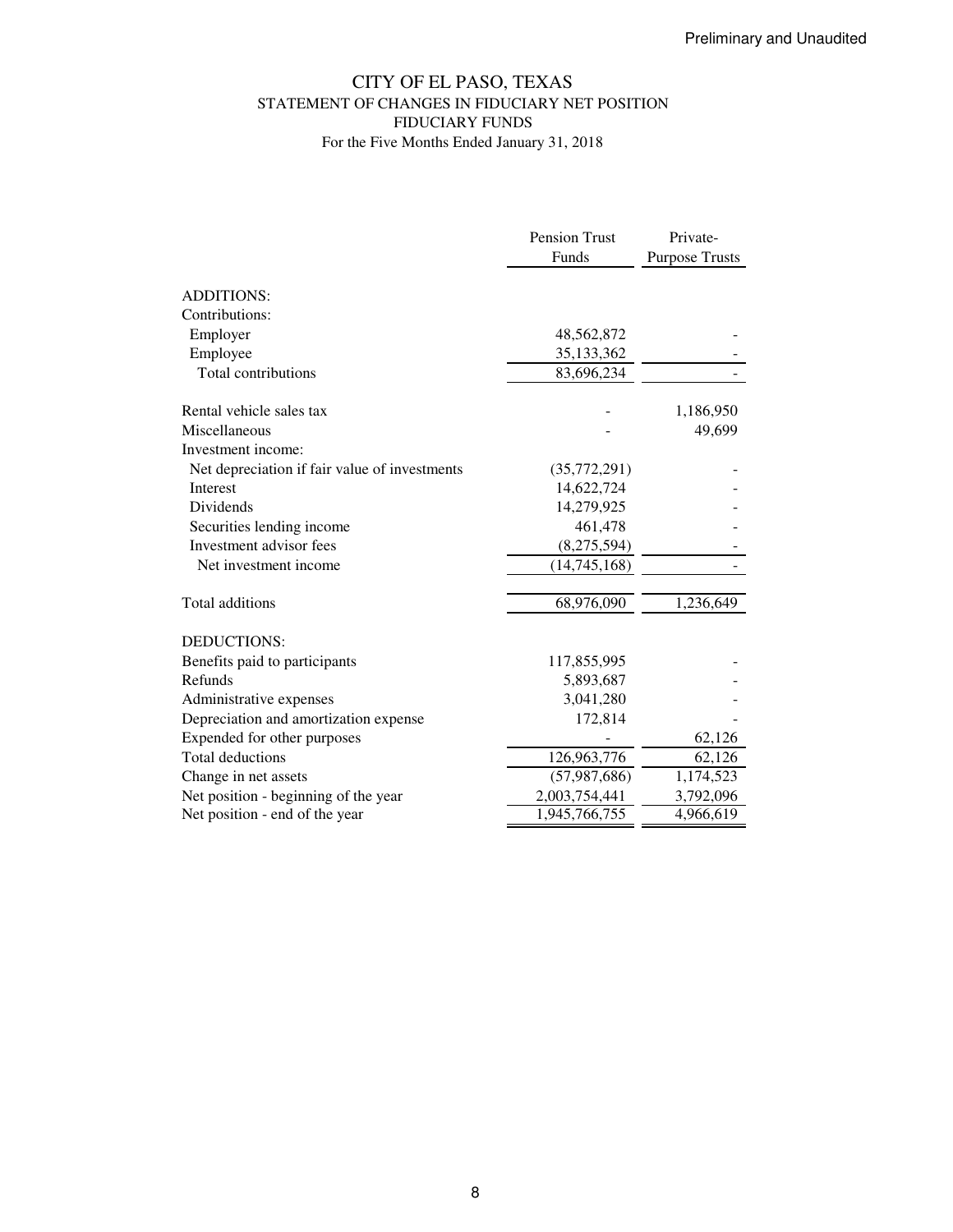## CITY OF EL PASO, TEXAS STATEMENT OF CHANGES IN FIDUCIARY NET POSITION FIDUCIARY FUNDS For the Five Months Ended January 31, 2018

|                                               | <b>Pension Trust</b> | Private-              |
|-----------------------------------------------|----------------------|-----------------------|
|                                               | Funds                | <b>Purpose Trusts</b> |
| <b>ADDITIONS:</b>                             |                      |                       |
| Contributions:                                |                      |                       |
| Employer                                      | 48,562,872           |                       |
| Employee                                      | 35,133,362           |                       |
| Total contributions                           | 83,696,234           |                       |
| Rental vehicle sales tax                      |                      | 1,186,950             |
| Miscellaneous                                 |                      | 49,699                |
| Investment income:                            |                      |                       |
| Net depreciation if fair value of investments | (35,772,291)         |                       |
| Interest                                      | 14,622,724           |                       |
| Dividends                                     | 14,279,925           |                       |
| Securities lending income                     | 461,478              |                       |
| Investment advisor fees                       | (8,275,594)          |                       |
| Net investment income                         | (14, 745, 168)       |                       |
| Total additions                               | 68,976,090           | 1,236,649             |
| <b>DEDUCTIONS:</b>                            |                      |                       |
| Benefits paid to participants                 | 117,855,995          |                       |
| Refunds                                       | 5,893,687            |                       |
| Administrative expenses                       | 3,041,280            |                       |
| Depreciation and amortization expense         | 172,814              |                       |
| Expended for other purposes                   |                      | 62,126                |
| <b>Total deductions</b>                       | 126,963,776          | 62,126                |
| Change in net assets                          | (57, 987, 686)       | 1,174,523             |
| Net position - beginning of the year          | 2,003,754,441        | 3,792,096             |
| Net position - end of the year                | 1,945,766,755        | 4,966,619             |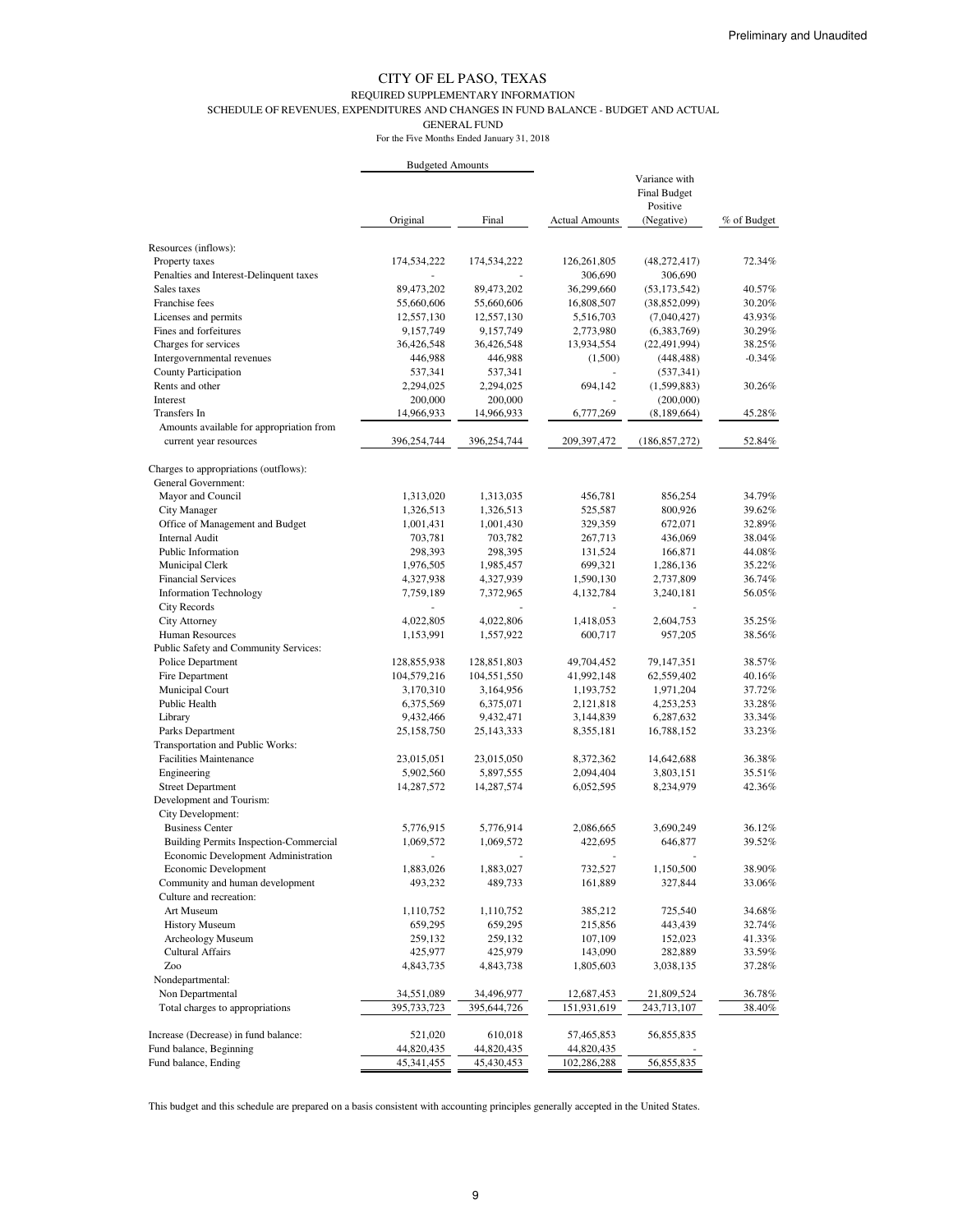#### REQUIRED SUPPLEMENTARY INFORMATION

SCHEDULE OF REVENUES, EXPENDITURES AND CHANGES IN FUND BALANCE - BUDGET AND ACTUAL

GENERAL FUND

For the Five Months Ended January 31, 2018

|                                                            | <b>Budgeted Amounts</b> |              |                       |                                           |             |
|------------------------------------------------------------|-------------------------|--------------|-----------------------|-------------------------------------------|-------------|
|                                                            |                         |              |                       | Variance with<br>Final Budget<br>Positive |             |
|                                                            | Original                | Final        | <b>Actual Amounts</b> | (Negative)                                | % of Budget |
| Resources (inflows):                                       |                         |              |                       |                                           |             |
| Property taxes                                             | 174,534,222             | 174,534,222  | 126,261,805           | (48, 272, 417)                            | 72.34%      |
| Penalties and Interest-Delinquent taxes                    |                         |              | 306,690               | 306,690                                   |             |
| Sales taxes                                                | 89,473,202              | 89,473,202   | 36,299,660            | (53, 173, 542)                            | 40.57%      |
| Franchise fees                                             | 55,660,606              | 55,660,606   | 16,808,507            | (38, 852, 099)                            | 30.20%      |
| Licenses and permits                                       | 12,557,130              | 12,557,130   | 5,516,703             | (7,040,427)                               | 43.93%      |
| Fines and forfeitures                                      | 9,157,749               | 9,157,749    | 2,773,980             | (6,383,769)                               | 30.29%      |
| Charges for services                                       | 36,426,548              | 36,426,548   | 13,934,554            | (22, 491, 994)                            | 38.25%      |
| Intergovernmental revenues                                 | 446,988                 | 446,988      | (1,500)               | (448, 488)                                | $-0.34%$    |
| <b>County Participation</b>                                | 537,341                 | 537,341      |                       | (537, 341)                                |             |
| Rents and other                                            | 2,294,025               | 2,294,025    | 694,142               | (1,599,883)                               | 30.26%      |
| Interest                                                   | 200,000                 | 200,000      |                       | (200,000)                                 |             |
| Transfers In                                               | 14,966,933              | 14,966,933   | 6,777,269             | (8,189,664)                               | 45.28%      |
| Amounts available for appropriation from                   |                         |              |                       |                                           |             |
| current year resources                                     | 396,254,744             | 396,254,744  | 209,397,472           | (186, 857, 272)                           | 52.84%      |
| Charges to appropriations (outflows):                      |                         |              |                       |                                           |             |
| General Government:                                        |                         |              |                       |                                           |             |
| Mayor and Council                                          | 1,313,020               | 1,313,035    | 456,781               | 856,254                                   | 34.79%      |
| City Manager                                               | 1,326,513               | 1,326,513    | 525,587               | 800,926                                   | 39.62%      |
| Office of Management and Budget                            | 1,001,431               | 1,001,430    | 329,359               | 672,071                                   | 32.89%      |
| <b>Internal Audit</b>                                      | 703,781                 | 703,782      | 267,713               | 436,069                                   | 38.04%      |
| Public Information                                         | 298,393                 | 298,395      | 131,524               | 166,871                                   | 44.08%      |
| Municipal Clerk                                            | 1,976,505               | 1,985,457    | 699,321               | 1,286,136                                 | 35.22%      |
| <b>Financial Services</b>                                  | 4,327,938               | 4,327,939    | 1,590,130             | 2,737,809                                 | 36.74%      |
| <b>Information Technology</b>                              | 7,759,189               | 7,372,965    | 4,132,784             | 3,240,181                                 | 56.05%      |
| City Records                                               |                         |              |                       |                                           |             |
| City Attorney                                              | 4,022,805               | 4,022,806    | 1,418,053             | 2,604,753                                 | 35.25%      |
| Human Resources                                            | 1,153,991               | 1,557,922    | 600,717               | 957,205                                   | 38.56%      |
| Public Safety and Community Services:                      |                         |              |                       |                                           |             |
| Police Department                                          | 128,855,938             | 128,851,803  | 49,704,452            | 79,147,351                                | 38.57%      |
| Fire Department                                            | 104,579,216             | 104,551,550  | 41,992,148            | 62,559,402                                | 40.16%      |
| Municipal Court                                            | 3,170,310               | 3,164,956    | 1,193,752             | 1,971,204                                 | 37.72%      |
| Public Health                                              | 6,375,569               | 6,375,071    | 2,121,818             | 4,253,253                                 | 33.28%      |
| Library                                                    | 9,432,466               | 9,432,471    | 3,144,839             | 6,287,632                                 | 33.34%      |
| Parks Department                                           | 25,158,750              | 25, 143, 333 | 8,355,181             | 16,788,152                                | 33.23%      |
| <b>Transportation and Public Works:</b>                    |                         |              |                       |                                           |             |
| <b>Facilities Maintenance</b>                              | 23,015,051              | 23,015,050   | 8,372,362             | 14,642,688                                | 36.38%      |
| Engineering                                                | 5,902,560               | 5,897,555    | 2,094,404             | 3,803,151                                 | 35.51%      |
| <b>Street Department</b>                                   | 14,287,572              | 14,287,574   | 6,052,595             | 8,234,979                                 | 42.36%      |
| Development and Tourism:                                   |                         |              |                       |                                           |             |
| City Development:                                          |                         |              |                       |                                           |             |
| <b>Business Center</b>                                     | 5,776,915               | 5,776,914    | 2,086,665             | 3,690,249                                 | 36.12%      |
| <b>Building Permits Inspection-Commercial</b>              | 1,069,572               | 1,069,572    | 422,695               | 646,877                                   | 39.52%      |
| Economic Development Administration                        |                         |              |                       |                                           |             |
| Economic Development                                       | 1,883,026               | 1,883,027    | 732,527               | 1,150,500                                 | 38.90%      |
| Community and human development<br>Culture and recreation: | 493,232                 | 489,733      | 161,889               | 327,844                                   | 33.06%      |
| Art Museum                                                 | 1,110,752               | 1,110,752    | 385,212               | 725,540                                   | 34.68%      |
| <b>History Museum</b>                                      | 659,295                 | 659,295      | 215,856               | 443,439                                   | 32.74%      |
| Archeology Museum                                          | 259,132                 | 259,132      | 107,109               | 152,023                                   | 41.33%      |
| <b>Cultural Affairs</b>                                    | 425,977                 | 425,979      | 143,090               | 282,889                                   | 33.59%      |
| Zoo                                                        | 4,843,735               | 4,843,738    | 1,805,603             | 3,038,135                                 | 37.28%      |
| Nondepartmental:                                           |                         |              |                       |                                           |             |
| Non Departmental                                           | 34,551,089              | 34,496,977   | 12,687,453            | 21,809,524                                | 36.78%      |
| Total charges to appropriations                            | 395,733,723             | 395,644,726  | 151,931,619           | 243,713,107                               | 38.40%      |
| Increase (Decrease) in fund balance:                       | 521,020                 | 610,018      | 57,465,853            | 56,855,835                                |             |
| Fund balance, Beginning                                    | 44,820,435              | 44,820,435   | 44,820,435            |                                           |             |
| Fund balance, Ending                                       | 45, 341, 455            | 45,430,453   | 102,286,288           | 56,855,835                                |             |

This budget and this schedule are prepared on a basis consistent with accounting principles generally accepted in the United States.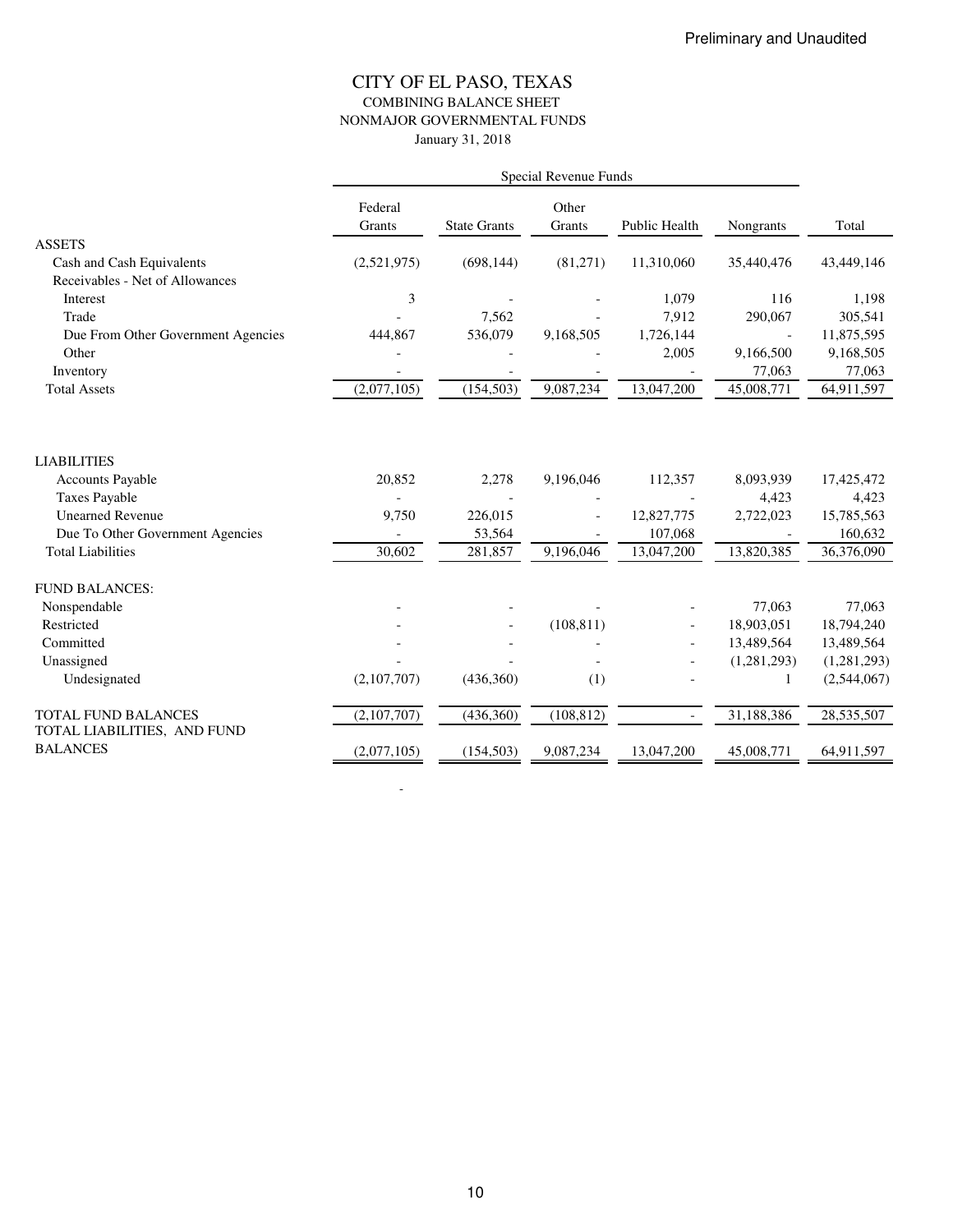### CITY OF EL PASO, TEXAS COMBINING BALANCE SHEET NONMAJOR GOVERNMENTAL FUNDS January 31, 2018

|                                                                                                                                                                  | Special Revenue Funds     |                                       |                        |                                                |                                               |                                                            |
|------------------------------------------------------------------------------------------------------------------------------------------------------------------|---------------------------|---------------------------------------|------------------------|------------------------------------------------|-----------------------------------------------|------------------------------------------------------------|
|                                                                                                                                                                  | Federal<br>Grants         | <b>State Grants</b>                   | Other<br>Grants        | Public Health                                  | Nongrants                                     | Total                                                      |
| <b>ASSETS</b>                                                                                                                                                    |                           |                                       |                        |                                                |                                               |                                                            |
| Cash and Cash Equivalents                                                                                                                                        | (2,521,975)               | (698, 144)                            | (81,271)               | 11,310,060                                     | 35,440,476                                    | 43,449,146                                                 |
| Receivables - Net of Allowances                                                                                                                                  |                           |                                       |                        |                                                |                                               |                                                            |
| Interest                                                                                                                                                         | 3                         |                                       |                        | 1,079                                          | 116                                           | 1,198                                                      |
| Trade                                                                                                                                                            |                           | 7,562                                 |                        | 7,912                                          | 290,067                                       | 305,541                                                    |
| Due From Other Government Agencies                                                                                                                               | 444,867                   | 536,079                               | 9,168,505              | 1,726,144                                      | $\overline{\phantom{a}}$                      | 11,875,595                                                 |
| Other                                                                                                                                                            |                           |                                       |                        | 2,005                                          | 9,166,500                                     | 9,168,505                                                  |
| Inventory                                                                                                                                                        |                           |                                       |                        |                                                | 77,063                                        | 77,063                                                     |
| <b>Total Assets</b>                                                                                                                                              | (2,077,105)               | (154, 503)                            | 9,087,234              | 13,047,200                                     | 45,008,771                                    | 64,911,597                                                 |
| <b>LIABILITIES</b><br><b>Accounts Payable</b><br><b>Taxes Payable</b><br><b>Unearned Revenue</b><br>Due To Other Government Agencies<br><b>Total Liabilities</b> | 20,852<br>9,750<br>30,602 | 2,278<br>226,015<br>53,564<br>281,857 | 9,196,046<br>9,196,046 | 112,357<br>12,827,775<br>107,068<br>13,047,200 | 8,093,939<br>4,423<br>2,722,023<br>13,820,385 | 17,425,472<br>4,423<br>15,785,563<br>160,632<br>36,376,090 |
|                                                                                                                                                                  |                           |                                       |                        |                                                |                                               |                                                            |
| <b>FUND BALANCES:</b>                                                                                                                                            |                           |                                       |                        |                                                |                                               |                                                            |
| Nonspendable                                                                                                                                                     |                           |                                       |                        |                                                | 77,063                                        | 77,063                                                     |
| Restricted                                                                                                                                                       |                           |                                       | (108, 811)             |                                                | 18,903,051                                    | 18,794,240                                                 |
| Committed                                                                                                                                                        |                           |                                       |                        |                                                | 13,489,564                                    | 13,489,564                                                 |
| Unassigned                                                                                                                                                       |                           |                                       |                        |                                                | (1, 281, 293)                                 | (1,281,293)                                                |
| Undesignated                                                                                                                                                     | (2,107,707)               | (436, 360)                            | (1)                    |                                                | 1                                             | (2,544,067)                                                |
| TOTAL FUND BALANCES<br>TOTAL LIABILITIES, AND FUND                                                                                                               | (2,107,707)               | (436, 360)                            | (108, 812)             |                                                | 31,188,386                                    | 28,535,507                                                 |
| <b>BALANCES</b>                                                                                                                                                  | (2,077,105)               | (154, 503)                            | 9,087,234              | 13,047,200                                     | 45,008,771                                    | 64,911,597                                                 |

- 100 minutes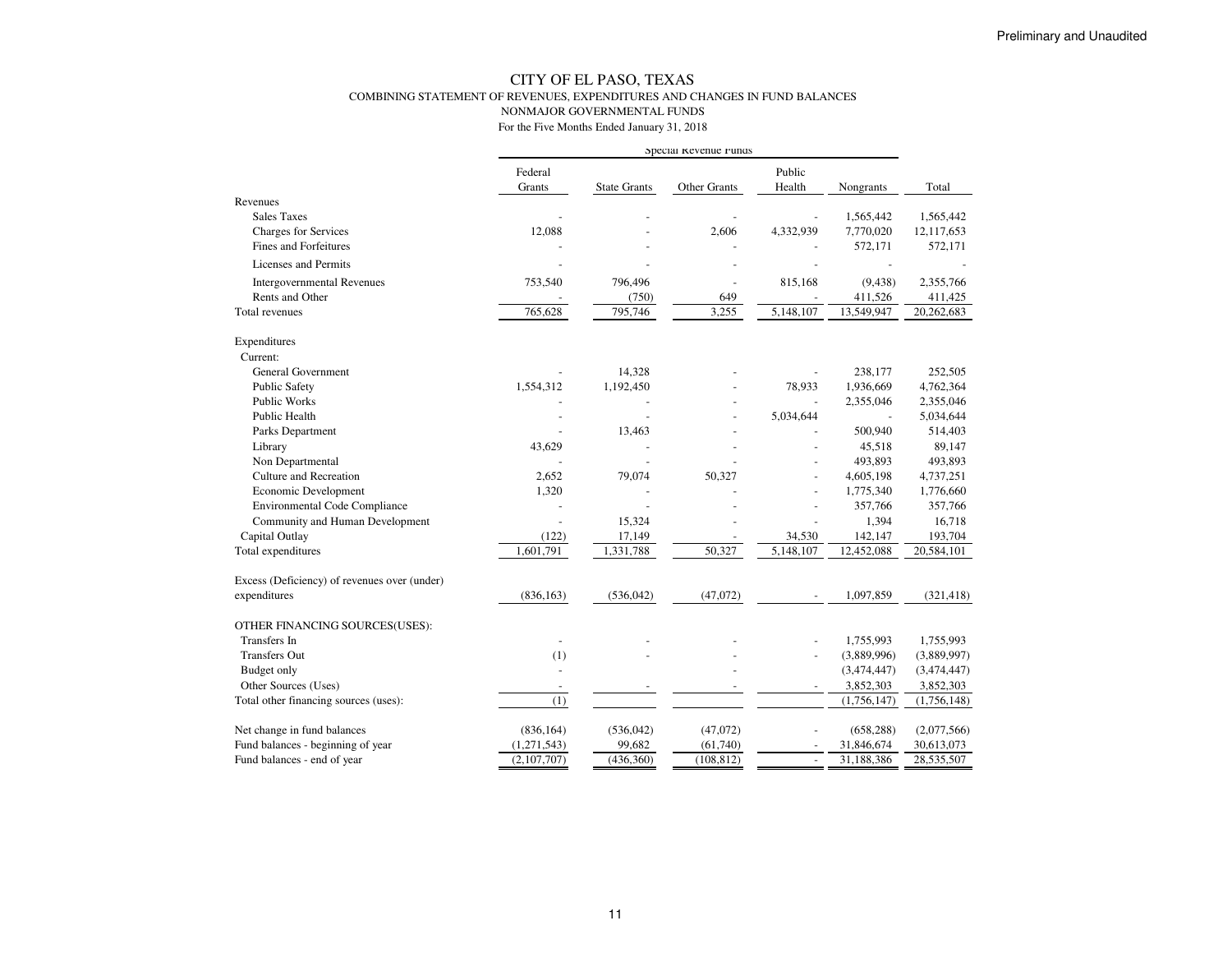# CITY OF EL PASO, TEXAS COMBINING STATEMENT OF REVENUES, EXPENDITURES AND CHANGES IN FUND BALANCESNONMAJOR GOVERNMENTAL FUNDS

| Public<br>Federal<br>Health<br>Grants<br><b>State Grants</b><br>Other Grants<br>Nongrants<br>Total<br>Revenues<br><b>Sales Taxes</b><br>1,565,442<br>1,565,442<br>4,332,939<br>Charges for Services<br>12,088<br>2,606<br>7,770,020<br>12,117,653<br>Fines and Forfeitures<br>572,171<br>572,171<br>Licenses and Permits<br>2,355,766<br><b>Intergovernmental Revenues</b><br>753,540<br>796,496<br>815,168<br>(9, 438)<br>ä,<br>Rents and Other<br>649<br>411,425<br>(750)<br>411,526<br>3,255<br>5,148,107<br>Total revenues<br>765.628<br>795,746<br>13,549,947<br>20,262,683<br>Expenditures<br>Current:<br><b>General Government</b><br>252,505<br>14,328<br>238,177<br>1,554,312<br>4,762,364<br><b>Public Safety</b><br>1,192,450<br>78,933<br>1,936,669<br>2,355,046<br>Public Works<br>2,355,046<br>÷,<br>5,034,644<br>5,034,644<br>Public Health<br>$\overline{\phantom{a}}$<br>$\overline{a}$<br>÷<br>Parks Department<br>13,463<br>500,940<br>514,403<br>Library<br>43,629<br>45,518<br>89,147<br>Non Departmental<br>493,893<br>493,893<br>Culture and Recreation<br>2,652<br>79,074<br>50,327<br>4,605,198<br>4,737,251<br>Economic Development<br>1,320<br>1,775,340<br>1,776,660<br>$\overline{a}$<br><b>Environmental Code Compliance</b><br>357,766<br>357,766<br>Community and Human Development<br>15,324<br>16,718<br>1,394<br>Capital Outlay<br>(122)<br>17,149<br>34,530<br>142,147<br>193,704<br>$\overline{5,}148,107$<br>Total expenditures<br>1,601,791<br>1,331,788<br>50,327<br>12,452,088<br>20,584,101<br>Excess (Deficiency) of revenues over (under) |
|---------------------------------------------------------------------------------------------------------------------------------------------------------------------------------------------------------------------------------------------------------------------------------------------------------------------------------------------------------------------------------------------------------------------------------------------------------------------------------------------------------------------------------------------------------------------------------------------------------------------------------------------------------------------------------------------------------------------------------------------------------------------------------------------------------------------------------------------------------------------------------------------------------------------------------------------------------------------------------------------------------------------------------------------------------------------------------------------------------------------------------------------------------------------------------------------------------------------------------------------------------------------------------------------------------------------------------------------------------------------------------------------------------------------------------------------------------------------------------------------------------------------------------------------------------------------------------------|
|                                                                                                                                                                                                                                                                                                                                                                                                                                                                                                                                                                                                                                                                                                                                                                                                                                                                                                                                                                                                                                                                                                                                                                                                                                                                                                                                                                                                                                                                                                                                                                                       |
|                                                                                                                                                                                                                                                                                                                                                                                                                                                                                                                                                                                                                                                                                                                                                                                                                                                                                                                                                                                                                                                                                                                                                                                                                                                                                                                                                                                                                                                                                                                                                                                       |
|                                                                                                                                                                                                                                                                                                                                                                                                                                                                                                                                                                                                                                                                                                                                                                                                                                                                                                                                                                                                                                                                                                                                                                                                                                                                                                                                                                                                                                                                                                                                                                                       |
|                                                                                                                                                                                                                                                                                                                                                                                                                                                                                                                                                                                                                                                                                                                                                                                                                                                                                                                                                                                                                                                                                                                                                                                                                                                                                                                                                                                                                                                                                                                                                                                       |
|                                                                                                                                                                                                                                                                                                                                                                                                                                                                                                                                                                                                                                                                                                                                                                                                                                                                                                                                                                                                                                                                                                                                                                                                                                                                                                                                                                                                                                                                                                                                                                                       |
|                                                                                                                                                                                                                                                                                                                                                                                                                                                                                                                                                                                                                                                                                                                                                                                                                                                                                                                                                                                                                                                                                                                                                                                                                                                                                                                                                                                                                                                                                                                                                                                       |
|                                                                                                                                                                                                                                                                                                                                                                                                                                                                                                                                                                                                                                                                                                                                                                                                                                                                                                                                                                                                                                                                                                                                                                                                                                                                                                                                                                                                                                                                                                                                                                                       |
|                                                                                                                                                                                                                                                                                                                                                                                                                                                                                                                                                                                                                                                                                                                                                                                                                                                                                                                                                                                                                                                                                                                                                                                                                                                                                                                                                                                                                                                                                                                                                                                       |
|                                                                                                                                                                                                                                                                                                                                                                                                                                                                                                                                                                                                                                                                                                                                                                                                                                                                                                                                                                                                                                                                                                                                                                                                                                                                                                                                                                                                                                                                                                                                                                                       |
|                                                                                                                                                                                                                                                                                                                                                                                                                                                                                                                                                                                                                                                                                                                                                                                                                                                                                                                                                                                                                                                                                                                                                                                                                                                                                                                                                                                                                                                                                                                                                                                       |
|                                                                                                                                                                                                                                                                                                                                                                                                                                                                                                                                                                                                                                                                                                                                                                                                                                                                                                                                                                                                                                                                                                                                                                                                                                                                                                                                                                                                                                                                                                                                                                                       |
|                                                                                                                                                                                                                                                                                                                                                                                                                                                                                                                                                                                                                                                                                                                                                                                                                                                                                                                                                                                                                                                                                                                                                                                                                                                                                                                                                                                                                                                                                                                                                                                       |
|                                                                                                                                                                                                                                                                                                                                                                                                                                                                                                                                                                                                                                                                                                                                                                                                                                                                                                                                                                                                                                                                                                                                                                                                                                                                                                                                                                                                                                                                                                                                                                                       |
|                                                                                                                                                                                                                                                                                                                                                                                                                                                                                                                                                                                                                                                                                                                                                                                                                                                                                                                                                                                                                                                                                                                                                                                                                                                                                                                                                                                                                                                                                                                                                                                       |
|                                                                                                                                                                                                                                                                                                                                                                                                                                                                                                                                                                                                                                                                                                                                                                                                                                                                                                                                                                                                                                                                                                                                                                                                                                                                                                                                                                                                                                                                                                                                                                                       |
|                                                                                                                                                                                                                                                                                                                                                                                                                                                                                                                                                                                                                                                                                                                                                                                                                                                                                                                                                                                                                                                                                                                                                                                                                                                                                                                                                                                                                                                                                                                                                                                       |
|                                                                                                                                                                                                                                                                                                                                                                                                                                                                                                                                                                                                                                                                                                                                                                                                                                                                                                                                                                                                                                                                                                                                                                                                                                                                                                                                                                                                                                                                                                                                                                                       |
|                                                                                                                                                                                                                                                                                                                                                                                                                                                                                                                                                                                                                                                                                                                                                                                                                                                                                                                                                                                                                                                                                                                                                                                                                                                                                                                                                                                                                                                                                                                                                                                       |
|                                                                                                                                                                                                                                                                                                                                                                                                                                                                                                                                                                                                                                                                                                                                                                                                                                                                                                                                                                                                                                                                                                                                                                                                                                                                                                                                                                                                                                                                                                                                                                                       |
|                                                                                                                                                                                                                                                                                                                                                                                                                                                                                                                                                                                                                                                                                                                                                                                                                                                                                                                                                                                                                                                                                                                                                                                                                                                                                                                                                                                                                                                                                                                                                                                       |
|                                                                                                                                                                                                                                                                                                                                                                                                                                                                                                                                                                                                                                                                                                                                                                                                                                                                                                                                                                                                                                                                                                                                                                                                                                                                                                                                                                                                                                                                                                                                                                                       |
|                                                                                                                                                                                                                                                                                                                                                                                                                                                                                                                                                                                                                                                                                                                                                                                                                                                                                                                                                                                                                                                                                                                                                                                                                                                                                                                                                                                                                                                                                                                                                                                       |
|                                                                                                                                                                                                                                                                                                                                                                                                                                                                                                                                                                                                                                                                                                                                                                                                                                                                                                                                                                                                                                                                                                                                                                                                                                                                                                                                                                                                                                                                                                                                                                                       |
|                                                                                                                                                                                                                                                                                                                                                                                                                                                                                                                                                                                                                                                                                                                                                                                                                                                                                                                                                                                                                                                                                                                                                                                                                                                                                                                                                                                                                                                                                                                                                                                       |
|                                                                                                                                                                                                                                                                                                                                                                                                                                                                                                                                                                                                                                                                                                                                                                                                                                                                                                                                                                                                                                                                                                                                                                                                                                                                                                                                                                                                                                                                                                                                                                                       |
|                                                                                                                                                                                                                                                                                                                                                                                                                                                                                                                                                                                                                                                                                                                                                                                                                                                                                                                                                                                                                                                                                                                                                                                                                                                                                                                                                                                                                                                                                                                                                                                       |
| expenditures<br>(836, 163)<br>(536,042)<br>(47,072)<br>1,097,859<br>(321, 418)                                                                                                                                                                                                                                                                                                                                                                                                                                                                                                                                                                                                                                                                                                                                                                                                                                                                                                                                                                                                                                                                                                                                                                                                                                                                                                                                                                                                                                                                                                        |
| OTHER FINANCING SOURCES(USES):                                                                                                                                                                                                                                                                                                                                                                                                                                                                                                                                                                                                                                                                                                                                                                                                                                                                                                                                                                                                                                                                                                                                                                                                                                                                                                                                                                                                                                                                                                                                                        |
| Transfers In<br>1,755,993<br>1,755,993<br>$\overline{\phantom{a}}$                                                                                                                                                                                                                                                                                                                                                                                                                                                                                                                                                                                                                                                                                                                                                                                                                                                                                                                                                                                                                                                                                                                                                                                                                                                                                                                                                                                                                                                                                                                    |
| <b>Transfers Out</b><br>(1)<br>(3,889,996)<br>(3,889,997)                                                                                                                                                                                                                                                                                                                                                                                                                                                                                                                                                                                                                                                                                                                                                                                                                                                                                                                                                                                                                                                                                                                                                                                                                                                                                                                                                                                                                                                                                                                             |
| <b>Budget only</b><br>(3,474,447)<br>(3,474,447)<br>$\overline{a}$                                                                                                                                                                                                                                                                                                                                                                                                                                                                                                                                                                                                                                                                                                                                                                                                                                                                                                                                                                                                                                                                                                                                                                                                                                                                                                                                                                                                                                                                                                                    |
| Other Sources (Uses)<br>3,852,303<br>3,852,303                                                                                                                                                                                                                                                                                                                                                                                                                                                                                                                                                                                                                                                                                                                                                                                                                                                                                                                                                                                                                                                                                                                                                                                                                                                                                                                                                                                                                                                                                                                                        |
| (1)<br>Total other financing sources (uses):<br>(1,756,147)<br>(1,756,148)                                                                                                                                                                                                                                                                                                                                                                                                                                                                                                                                                                                                                                                                                                                                                                                                                                                                                                                                                                                                                                                                                                                                                                                                                                                                                                                                                                                                                                                                                                            |
| Net change in fund balances<br>(836, 164)<br>(536, 042)<br>(47,072)<br>(658, 288)<br>(2,077,566)                                                                                                                                                                                                                                                                                                                                                                                                                                                                                                                                                                                                                                                                                                                                                                                                                                                                                                                                                                                                                                                                                                                                                                                                                                                                                                                                                                                                                                                                                      |
| Fund balances - beginning of year<br>99,682<br>(1,271,543)<br>(61,740)<br>31,846,674<br>30,613,073                                                                                                                                                                                                                                                                                                                                                                                                                                                                                                                                                                                                                                                                                                                                                                                                                                                                                                                                                                                                                                                                                                                                                                                                                                                                                                                                                                                                                                                                                    |
| Fund balances - end of year<br>(2,107,707)<br>(436, 360)<br>(108, 812)<br>31,188,386<br>28,535,507<br>$\overline{\phantom{a}}$                                                                                                                                                                                                                                                                                                                                                                                                                                                                                                                                                                                                                                                                                                                                                                                                                                                                                                                                                                                                                                                                                                                                                                                                                                                                                                                                                                                                                                                        |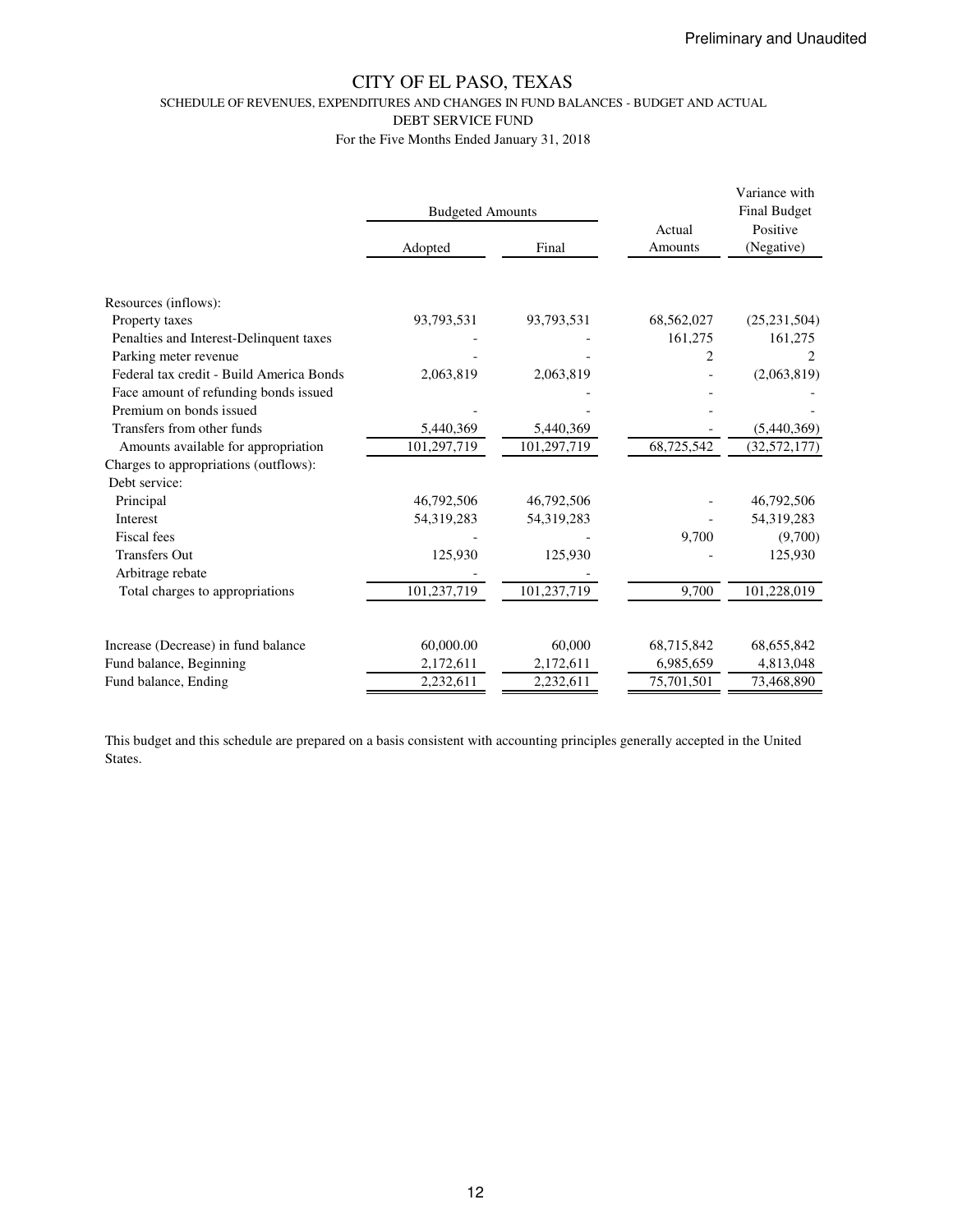SCHEDULE OF REVENUES, EXPENDITURES AND CHANGES IN FUND BALANCES - BUDGET AND ACTUAL

DEBT SERVICE FUND

For the Five Months Ended January 31, 2018

|                                          | <b>Budgeted Amounts</b> |             | Actual     | Variance with<br><b>Final Budget</b><br>Positive |
|------------------------------------------|-------------------------|-------------|------------|--------------------------------------------------|
|                                          | Adopted                 | Final       | Amounts    | (Negative)                                       |
|                                          |                         |             |            |                                                  |
| Resources (inflows):                     |                         |             |            |                                                  |
| Property taxes                           | 93,793,531              | 93,793,531  | 68,562,027 | (25, 231, 504)                                   |
| Penalties and Interest-Delinquent taxes  |                         |             | 161,275    | 161,275                                          |
| Parking meter revenue                    |                         |             | 2          |                                                  |
| Federal tax credit - Build America Bonds | 2,063,819               | 2,063,819   |            | (2,063,819)                                      |
| Face amount of refunding bonds issued    |                         |             |            |                                                  |
| Premium on bonds issued                  |                         |             |            |                                                  |
| Transfers from other funds               | 5,440,369               | 5,440,369   |            | (5,440,369)                                      |
| Amounts available for appropriation      | 101,297,719             | 101,297,719 | 68,725,542 | (32, 572, 177)                                   |
| Charges to appropriations (outflows):    |                         |             |            |                                                  |
| Debt service:                            |                         |             |            |                                                  |
| Principal                                | 46,792,506              | 46,792,506  |            | 46,792,506                                       |
| Interest                                 | 54,319,283              | 54,319,283  |            | 54,319,283                                       |
| Fiscal fees                              |                         |             | 9,700      | (9,700)                                          |
| <b>Transfers Out</b>                     | 125,930                 | 125,930     |            | 125,930                                          |
| Arbitrage rebate                         |                         |             |            |                                                  |
| Total charges to appropriations          | 101,237,719             | 101,237,719 | 9,700      | 101,228,019                                      |
|                                          |                         |             |            |                                                  |
| Increase (Decrease) in fund balance      | 60,000.00               | 60,000      | 68,715,842 | 68, 655, 842                                     |
| Fund balance, Beginning                  | 2,172,611               | 2,172,611   | 6,985,659  | 4,813,048                                        |
| Fund balance, Ending                     | 2,232,611               | 2,232,611   | 75,701,501 | 73,468,890                                       |

This budget and this schedule are prepared on a basis consistent with accounting principles generally accepted in the United States.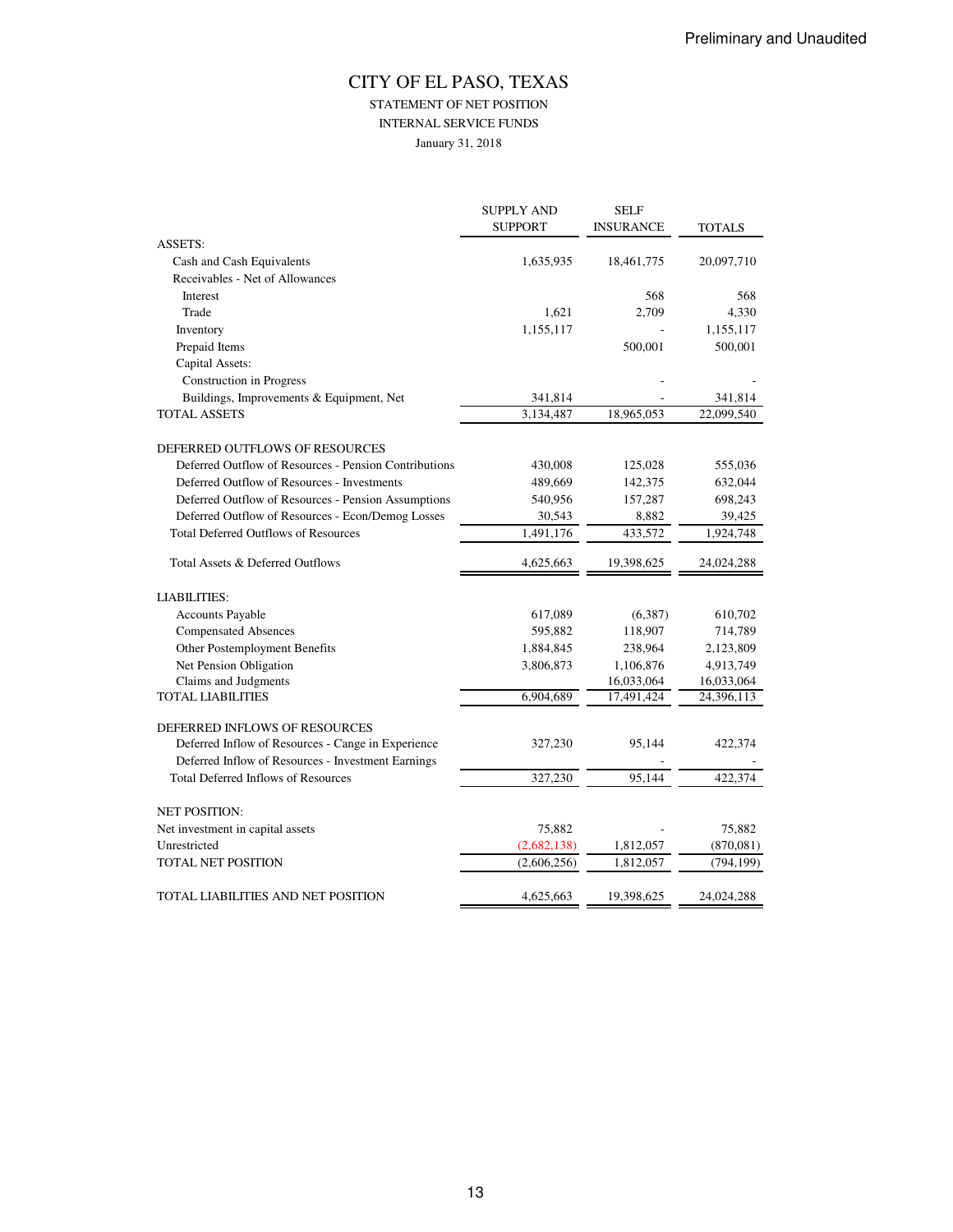## CITY OF EL PASO, TEXAS STATEMENT OF NET POSITION INTERNAL SERVICE FUNDS January 31, 2018

|                                                       | <b>SUPPLY AND</b><br><b>SUPPORT</b> | <b>SELF</b><br><b>INSURANCE</b> | <b>TOTALS</b>           |
|-------------------------------------------------------|-------------------------------------|---------------------------------|-------------------------|
| <b>ASSETS:</b>                                        |                                     |                                 |                         |
| Cash and Cash Equivalents                             | 1,635,935                           | 18,461,775                      | 20,097,710              |
| Receivables - Net of Allowances                       |                                     |                                 |                         |
| Interest                                              |                                     | 568                             | 568                     |
| Trade                                                 | 1,621                               | 2,709                           | 4,330                   |
| Inventory                                             | 1,155,117                           |                                 | 1,155,117               |
| Prepaid Items                                         |                                     | 500,001                         | 500,001                 |
| Capital Assets:                                       |                                     |                                 |                         |
| <b>Construction</b> in Progress                       |                                     |                                 |                         |
| Buildings, Improvements & Equipment, Net              | 341,814                             |                                 | 341,814                 |
| <b>TOTAL ASSETS</b>                                   | 3,134,487                           | 18,965,053                      | $\overline{22,099,540}$ |
| DEFERRED OUTFLOWS OF RESOURCES                        |                                     |                                 |                         |
| Deferred Outflow of Resources - Pension Contributions | 430,008                             | 125,028                         | 555,036                 |
| Deferred Outflow of Resources - Investments           | 489,669                             | 142,375                         | 632,044                 |
| Deferred Outflow of Resources - Pension Assumptions   | 540,956                             | 157,287                         | 698,243                 |
| Deferred Outflow of Resources - Econ/Demog Losses     | 30,543                              | 8,882                           | 39,425                  |
| <b>Total Deferred Outflows of Resources</b>           | 1,491,176                           | 433,572                         | 1,924,748               |
| Total Assets & Deferred Outflows                      | 4,625,663                           | 19,398,625                      | 24,024,288              |
| <b>LIABILITIES:</b>                                   |                                     |                                 |                         |
| <b>Accounts Payable</b>                               | 617,089                             | (6,387)                         | 610,702                 |
| <b>Compensated Absences</b>                           | 595,882                             | 118,907                         | 714,789                 |
| Other Postemployment Benefits                         | 1,884,845                           | 238,964                         | 2,123,809               |
| Net Pension Obligation                                | 3,806,873                           | 1,106,876                       | 4,913,749               |
| Claims and Judgments                                  |                                     | 16,033,064                      | 16,033,064              |
| <b>TOTAL LIABILITIES</b>                              | 6,904,689                           | 17,491,424                      | 24,396,113              |
| DEFERRED INFLOWS OF RESOURCES                         |                                     |                                 |                         |
| Deferred Inflow of Resources - Cange in Experience    | 327,230                             | 95,144                          | 422,374                 |
| Deferred Inflow of Resources - Investment Earnings    |                                     |                                 |                         |
| <b>Total Deferred Inflows of Resources</b>            | 327,230                             | 95.144                          | 422,374                 |
| <b>NET POSITION:</b>                                  |                                     |                                 |                         |
| Net investment in capital assets                      | 75,882                              |                                 | 75,882                  |
| Unrestricted                                          | (2,682,138)                         | 1,812,057                       | (870,081)               |
| <b>TOTAL NET POSITION</b>                             | (2,606,256)                         | 1,812,057                       | (794, 199)              |
| TOTAL LIABILITIES AND NET POSITION                    | 4.625.663                           | 19,398,625                      | 24,024,288              |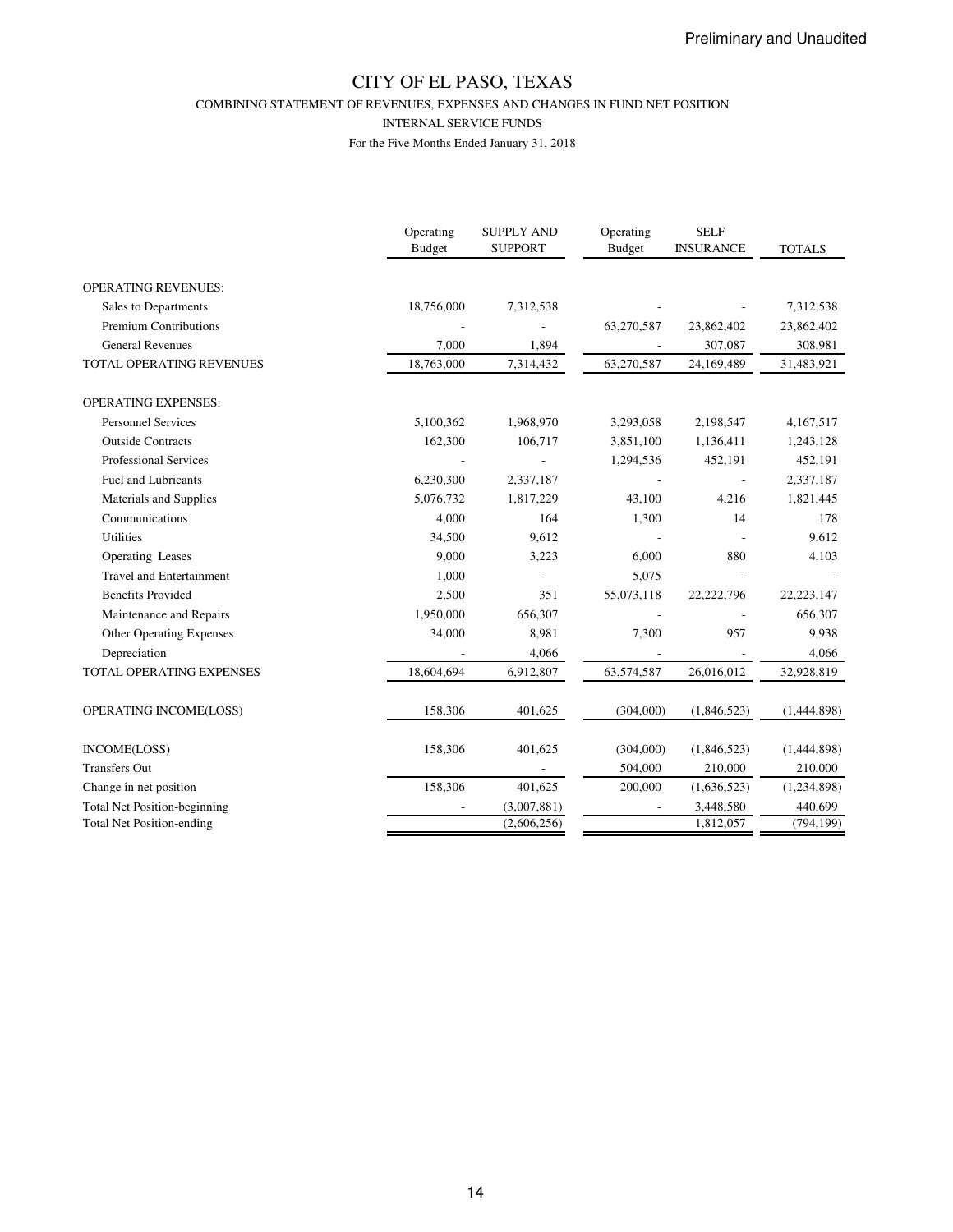COMBINING STATEMENT OF REVENUES, EXPENSES AND CHANGES IN FUND NET POSITION

INTERNAL SERVICE FUNDS

|                                     | Operating<br><b>Budget</b> | <b>SUPPLY AND</b><br><b>SUPPORT</b> | Operating<br><b>Budget</b> | <b>SELF</b><br><b>INSURANCE</b> | <b>TOTALS</b> |
|-------------------------------------|----------------------------|-------------------------------------|----------------------------|---------------------------------|---------------|
| <b>OPERATING REVENUES:</b>          |                            |                                     |                            |                                 |               |
| Sales to Departments                | 18,756,000                 | 7,312,538                           |                            |                                 | 7,312,538     |
| <b>Premium Contributions</b>        |                            |                                     | 63,270,587                 | 23,862,402                      | 23,862,402    |
| <b>General Revenues</b>             | 7.000                      | 1,894                               |                            | 307,087                         | 308,981       |
| TOTAL OPERATING REVENUES            | 18,763,000                 | 7,314,432                           | 63,270,587                 | 24,169,489                      | 31,483,921    |
| <b>OPERATING EXPENSES:</b>          |                            |                                     |                            |                                 |               |
| <b>Personnel Services</b>           | 5,100,362                  | 1,968,970                           | 3,293,058                  | 2,198,547                       | 4,167,517     |
| <b>Outside Contracts</b>            | 162,300                    | 106,717                             | 3,851,100                  | 1,136,411                       | 1,243,128     |
| <b>Professional Services</b>        |                            |                                     | 1,294,536                  | 452,191                         | 452,191       |
| <b>Fuel and Lubricants</b>          | 6,230,300                  | 2,337,187                           |                            |                                 | 2,337,187     |
| Materials and Supplies              | 5,076,732                  | 1,817,229                           | 43,100                     | 4,216                           | 1,821,445     |
| Communications                      | 4,000                      | 164                                 | 1,300                      | 14                              | 178           |
| <b>Utilities</b>                    | 34,500                     | 9,612                               |                            |                                 | 9,612         |
| Operating Leases                    | 9,000                      | 3,223                               | 6,000                      | 880                             | 4,103         |
| <b>Travel and Entertainment</b>     | 1,000                      |                                     | 5,075                      |                                 |               |
| <b>Benefits Provided</b>            | 2,500                      | 351                                 | 55,073,118                 | 22,222,796                      | 22,223,147    |
| Maintenance and Repairs             | 1,950,000                  | 656,307                             |                            |                                 | 656,307       |
| Other Operating Expenses            | 34,000                     | 8,981                               | 7,300                      | 957                             | 9,938         |
| Depreciation                        |                            | 4,066                               |                            |                                 | 4,066         |
| TOTAL OPERATING EXPENSES            | 18,604,694                 | 6,912,807                           | 63,574,587                 | 26,016,012                      | 32,928,819    |
| OPERATING INCOME(LOSS)              | 158,306                    | 401,625                             | (304,000)                  | (1,846,523)                     | (1,444,898)   |
| INCOME(LOSS)                        | 158,306                    | 401,625                             | (304,000)                  | (1,846,523)                     | (1,444,898)   |
| <b>Transfers Out</b>                |                            |                                     | 504,000                    | 210,000                         | 210,000       |
| Change in net position              | 158,306                    | 401,625                             | 200,000                    | (1,636,523)                     | (1,234,898)   |
| <b>Total Net Position-beginning</b> |                            | (3,007,881)                         |                            | 3,448,580                       | 440,699       |
| <b>Total Net Position-ending</b>    |                            | (2,606,256)                         |                            | 1,812,057                       | (794, 199)    |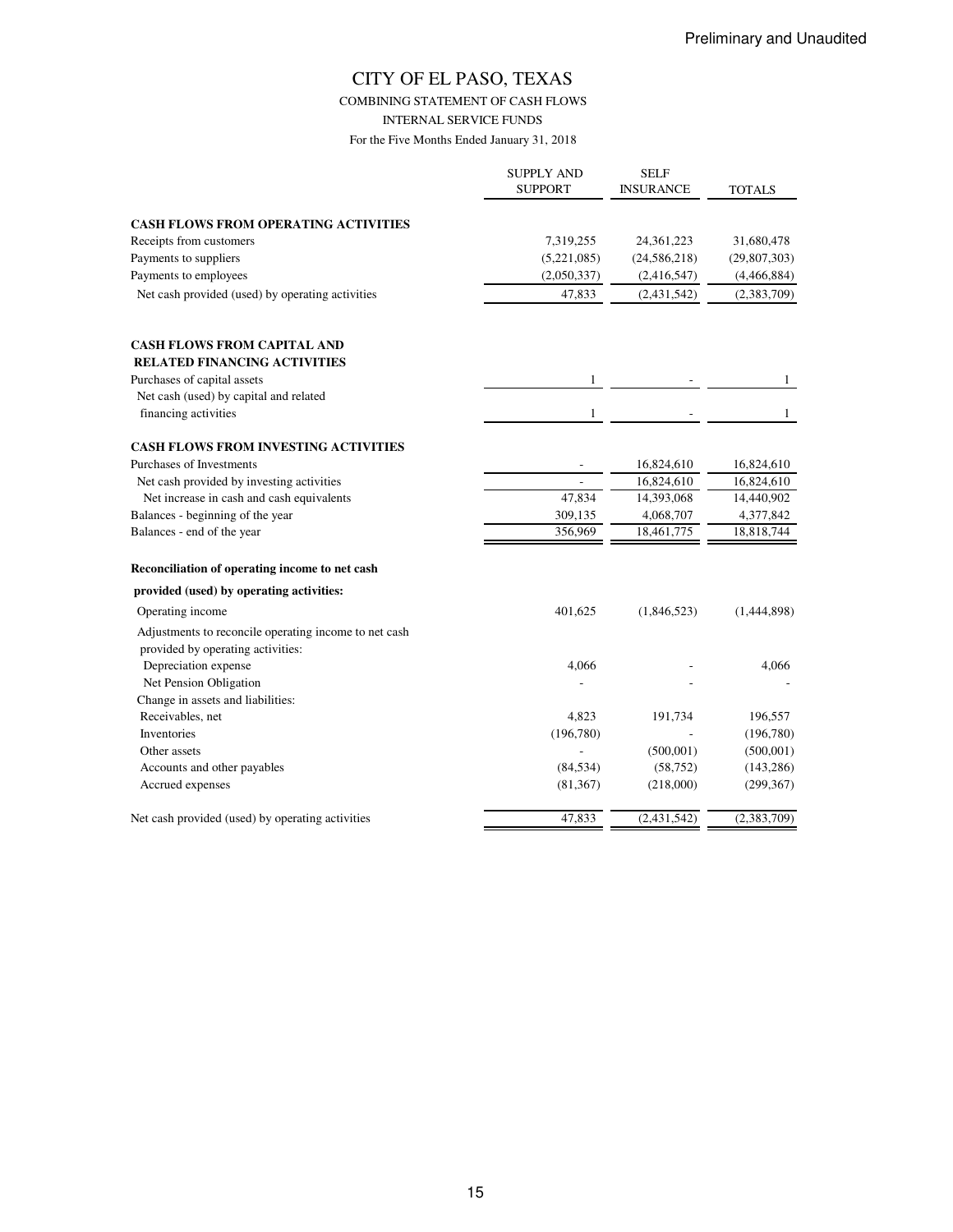COMBINING STATEMENT OF CASH FLOWS

INTERNAL SERVICE FUNDS

|                                                                                            | <b>SUPPLY AND</b><br><b>SUPPORT</b> | <b>SELF</b><br><b>INSURANCE</b> | <b>TOTALS</b>           |
|--------------------------------------------------------------------------------------------|-------------------------------------|---------------------------------|-------------------------|
| <b>CASH FLOWS FROM OPERATING ACTIVITIES</b>                                                |                                     |                                 |                         |
| Receipts from customers                                                                    | 7,319,255                           | 24, 361, 223                    | 31,680,478              |
| Payments to suppliers                                                                      | (5,221,085)                         | (24, 586, 218)                  | (29, 807, 303)          |
| Payments to employees                                                                      | (2,050,337)                         | (2,416,547)                     | (4,466,884)             |
| Net cash provided (used) by operating activities                                           | 47,833                              | (2, 431, 542)                   | (2,383,709)             |
| <b>CASH FLOWS FROM CAPITAL AND</b>                                                         |                                     |                                 |                         |
| <b>RELATED FINANCING ACTIVITIES</b>                                                        |                                     |                                 |                         |
| Purchases of capital assets                                                                | 1                                   |                                 | 1                       |
| Net cash (used) by capital and related<br>financing activities                             | 1                                   |                                 | $\mathbf{1}$            |
| <b>CASH FLOWS FROM INVESTING ACTIVITIES</b>                                                |                                     |                                 |                         |
| Purchases of Investments                                                                   |                                     | 16,824,610                      | 16,824,610              |
| Net cash provided by investing activities                                                  |                                     | 16,824,610                      | 16,824,610              |
| Net increase in cash and cash equivalents                                                  | 47,834                              | 14,393,068                      | $\overline{14,}440,902$ |
| Balances - beginning of the year                                                           | 309,135                             | 4,068,707                       | 4,377,842               |
| Balances - end of the year                                                                 | 356,969                             | 18,461,775                      | 18,818,744              |
| Reconciliation of operating income to net cash                                             |                                     |                                 |                         |
| provided (used) by operating activities:                                                   |                                     |                                 |                         |
| Operating income                                                                           | 401,625                             | (1,846,523)                     | (1,444,898)             |
| Adjustments to reconcile operating income to net cash<br>provided by operating activities: |                                     |                                 |                         |
| Depreciation expense                                                                       | 4,066                               |                                 | 4,066                   |
| Net Pension Obligation                                                                     |                                     |                                 |                         |
| Change in assets and liabilities:                                                          |                                     |                                 |                         |
| Receivables, net                                                                           | 4,823                               | 191,734                         | 196,557                 |
| Inventories                                                                                | (196, 780)                          |                                 | (196,780)               |
| Other assets                                                                               |                                     | (500,001)                       | (500,001)               |
| Accounts and other payables                                                                | (84, 534)                           | (58, 752)                       | (143, 286)              |
| Accrued expenses                                                                           | (81, 367)                           | (218,000)                       | (299, 367)              |
| Net cash provided (used) by operating activities                                           | 47,833                              | (2, 431, 542)                   | (2,383,709)             |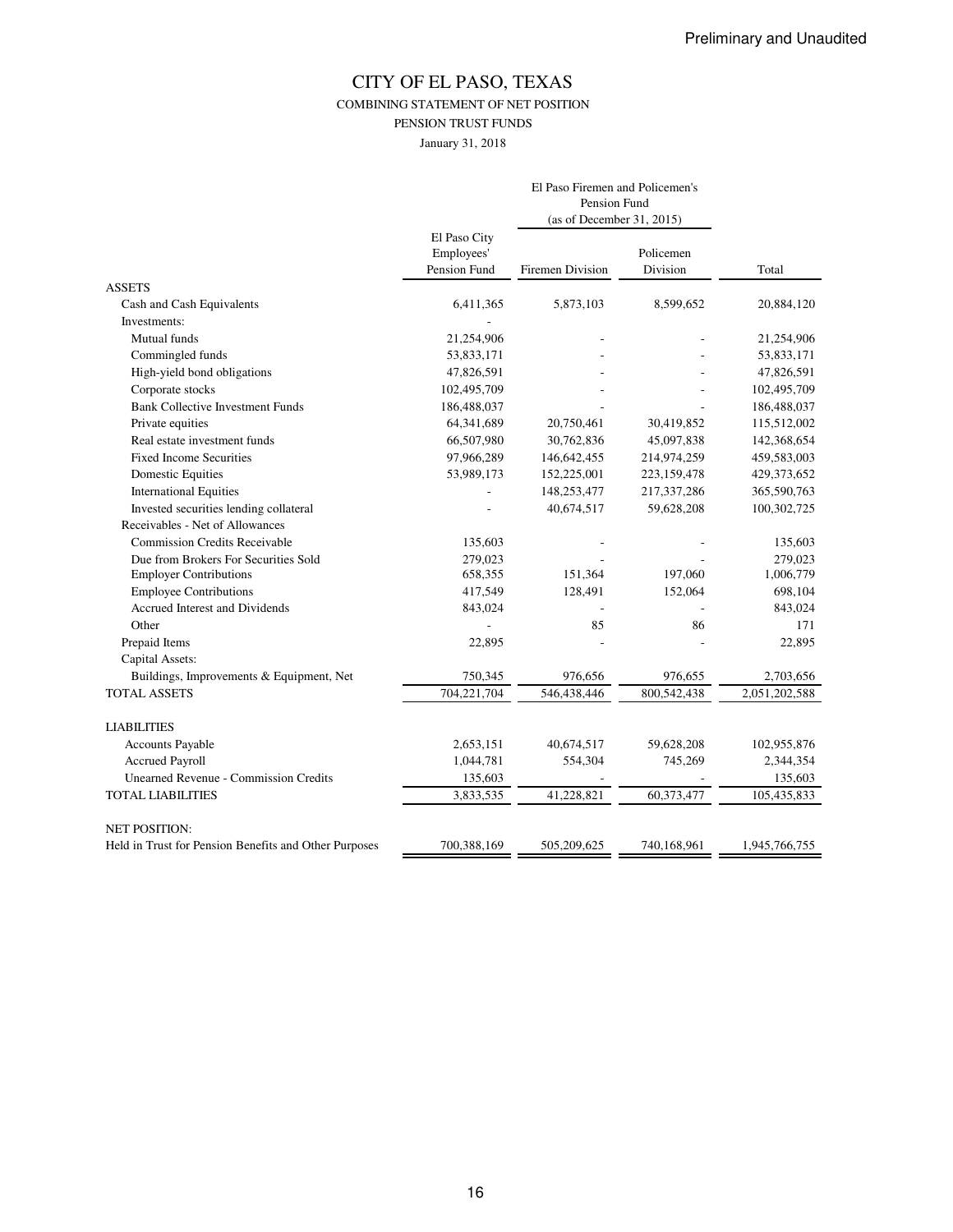COMBINING STATEMENT OF NET POSITION

PENSION TRUST FUNDS

January 31, 2018

|                                                       |                            | Pension Fund<br>(as of December 31, 2015) |             |               |
|-------------------------------------------------------|----------------------------|-------------------------------------------|-------------|---------------|
|                                                       | El Paso City<br>Employees' |                                           | Policemen   |               |
|                                                       | Pension Fund               | <b>Firemen Division</b>                   | Division    | Total         |
| <b>ASSETS</b>                                         |                            |                                           |             |               |
| Cash and Cash Equivalents                             | 6,411,365                  | 5,873,103                                 | 8,599,652   | 20,884,120    |
| Investments:                                          |                            |                                           |             |               |
| Mutual funds                                          | 21,254,906                 |                                           |             | 21,254,906    |
| Commingled funds                                      | 53,833,171                 |                                           |             | 53,833,171    |
| High-yield bond obligations                           | 47,826,591                 |                                           |             | 47,826,591    |
| Corporate stocks                                      | 102,495,709                |                                           |             | 102,495,709   |
| <b>Bank Collective Investment Funds</b>               | 186,488,037                |                                           |             | 186,488,037   |
| Private equities                                      | 64,341,689                 | 20,750,461                                | 30,419,852  | 115,512,002   |
| Real estate investment funds                          | 66,507,980                 | 30,762,836                                | 45,097,838  | 142,368,654   |
| <b>Fixed Income Securities</b>                        | 97,966,289                 | 146,642,455                               | 214,974,259 | 459,583,003   |
| <b>Domestic Equities</b>                              | 53,989,173                 | 152,225,001                               | 223,159,478 | 429,373,652   |
| <b>International Equities</b>                         |                            | 148,253,477                               | 217,337,286 | 365,590,763   |
| Invested securities lending collateral                |                            | 40,674,517                                | 59,628,208  | 100,302,725   |
| Receivables - Net of Allowances                       |                            |                                           |             |               |
| <b>Commission Credits Receivable</b>                  | 135,603                    |                                           |             | 135,603       |
| Due from Brokers For Securities Sold                  | 279,023                    |                                           |             | 279,023       |
| <b>Employer Contributions</b>                         | 658,355                    | 151,364                                   | 197,060     | 1,006,779     |
| <b>Employee Contributions</b>                         | 417,549                    | 128,491                                   | 152,064     | 698,104       |
| Accrued Interest and Dividends                        | 843,024                    |                                           |             | 843,024       |
| Other                                                 |                            | 85                                        | 86          | 171           |
| Prepaid Items                                         | 22,895                     |                                           |             | 22,895        |
| Capital Assets:                                       |                            |                                           |             |               |
| Buildings, Improvements & Equipment, Net              | 750,345                    | 976,656                                   | 976,655     | 2,703,656     |
| <b>TOTAL ASSETS</b>                                   | 704,221,704                | 546,438,446                               | 800,542,438 | 2,051,202,588 |
| <b>LIABILITIES</b>                                    |                            |                                           |             |               |
| <b>Accounts Payable</b>                               | 2,653,151                  | 40,674,517                                | 59,628,208  | 102,955,876   |
| <b>Accrued Payroll</b>                                | 1,044,781                  | 554,304                                   | 745,269     | 2,344,354     |
| <b>Unearned Revenue - Commission Credits</b>          | 135,603                    |                                           |             | 135,603       |
| <b>TOTAL LIABILITIES</b>                              | 3,833,535                  | 41,228,821                                | 60,373,477  | 105,435,833   |
| <b>NET POSITION:</b>                                  |                            |                                           |             |               |
| Held in Trust for Pension Benefits and Other Purposes | 700,388,169                | 505,209,625                               | 740,168,961 | 1,945,766,755 |